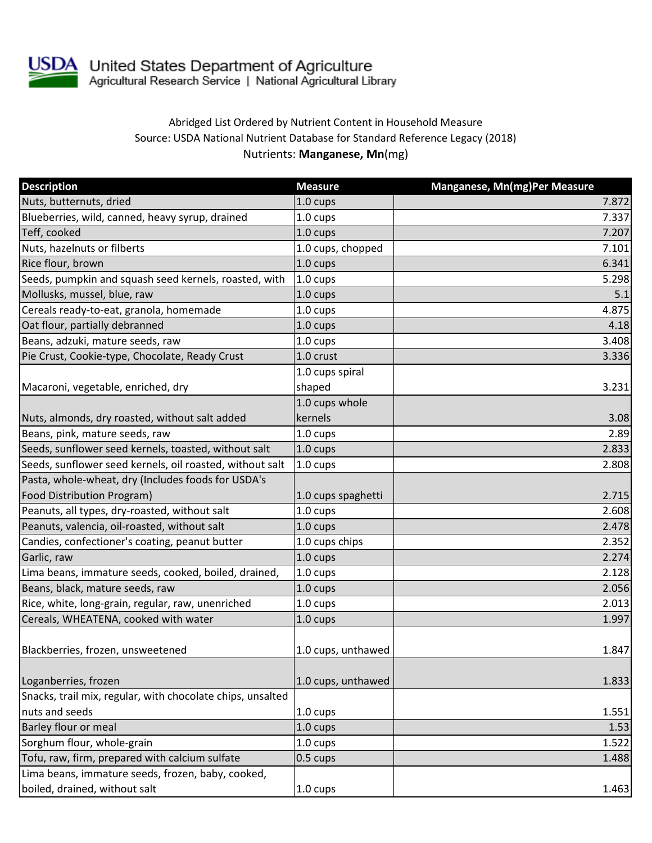

USDA United States Department of Agriculture<br>Agricultural Research Service | National Agricultural Library

## Abridged List Ordered by Nutrient Content in Household Measure Source: USDA National Nutrient Database for Standard Reference Legacy (2018) Nutrients: **Manganese, Mn**(mg)

| <b>Description</b>                                         | <b>Measure</b>     | Manganese, Mn(mg)Per Measure |
|------------------------------------------------------------|--------------------|------------------------------|
| Nuts, butternuts, dried                                    | 1.0 cups           | 7.872                        |
| Blueberries, wild, canned, heavy syrup, drained            | 1.0 cups           | 7.337                        |
| Teff, cooked                                               | $1.0 \text{ cups}$ | 7.207                        |
| Nuts, hazelnuts or filberts                                | 1.0 cups, chopped  | 7.101                        |
| Rice flour, brown                                          | $1.0 \text{ cups}$ | 6.341                        |
| Seeds, pumpkin and squash seed kernels, roasted, with      | 1.0 cups           | 5.298                        |
| Mollusks, mussel, blue, raw                                | 1.0 cups           | 5.1                          |
| Cereals ready-to-eat, granola, homemade                    | 1.0 cups           | 4.875                        |
| Oat flour, partially debranned                             | 1.0 cups           | 4.18                         |
| Beans, adzuki, mature seeds, raw                           | 1.0 cups           | 3.408                        |
| Pie Crust, Cookie-type, Chocolate, Ready Crust             | 1.0 crust          | 3.336                        |
|                                                            | 1.0 cups spiral    |                              |
| Macaroni, vegetable, enriched, dry                         | shaped             | 3.231                        |
|                                                            | 1.0 cups whole     |                              |
| Nuts, almonds, dry roasted, without salt added             | kernels            | 3.08                         |
| Beans, pink, mature seeds, raw                             | $1.0 \text{ cups}$ | 2.89                         |
| Seeds, sunflower seed kernels, toasted, without salt       | 1.0 cups           | 2.833                        |
| Seeds, sunflower seed kernels, oil roasted, without salt   | 1.0 cups           | 2.808                        |
| Pasta, whole-wheat, dry (Includes foods for USDA's         |                    |                              |
| <b>Food Distribution Program)</b>                          | 1.0 cups spaghetti | 2.715                        |
| Peanuts, all types, dry-roasted, without salt              | 1.0 cups           | 2.608                        |
| Peanuts, valencia, oil-roasted, without salt               | $1.0 \text{ cups}$ | 2.478                        |
| Candies, confectioner's coating, peanut butter             | 1.0 cups chips     | 2.352                        |
| Garlic, raw                                                | $1.0 \text{ cups}$ | 2.274                        |
| Lima beans, immature seeds, cooked, boiled, drained,       | 1.0 cups           | 2.128                        |
| Beans, black, mature seeds, raw                            | $1.0 \text{ cups}$ | 2.056                        |
| Rice, white, long-grain, regular, raw, unenriched          | 1.0 cups           | 2.013                        |
| Cereals, WHEATENA, cooked with water                       | 1.0 cups           | 1.997                        |
|                                                            |                    |                              |
| Blackberries, frozen, unsweetened                          | 1.0 cups, unthawed | 1.847                        |
|                                                            |                    |                              |
| Loganberries, frozen                                       | 1.0 cups, unthawed | 1.833                        |
| Snacks, trail mix, regular, with chocolate chips, unsalted |                    |                              |
| nuts and seeds                                             | $1.0 \text{ cups}$ | 1.551                        |
| Barley flour or meal                                       | 1.0 cups           | 1.53                         |
| Sorghum flour, whole-grain                                 | 1.0 cups           | 1.522                        |
| Tofu, raw, firm, prepared with calcium sulfate             | 0.5 cups           | 1.488                        |
| Lima beans, immature seeds, frozen, baby, cooked,          |                    |                              |
| boiled, drained, without salt                              | 1.0 cups           | 1.463                        |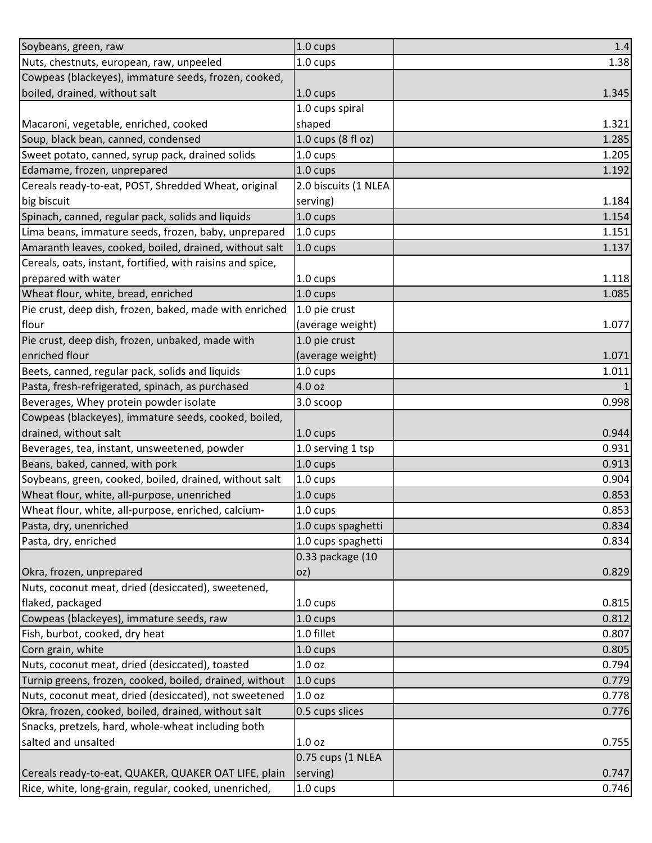| Soybeans, green, raw                                       | 1.0 cups             | 1.4   |
|------------------------------------------------------------|----------------------|-------|
| Nuts, chestnuts, european, raw, unpeeled                   | 1.0 cups             | 1.38  |
| Cowpeas (blackeyes), immature seeds, frozen, cooked,       |                      |       |
| boiled, drained, without salt                              | 1.0 cups             | 1.345 |
|                                                            | 1.0 cups spiral      |       |
| Macaroni, vegetable, enriched, cooked                      | shaped               | 1.321 |
| Soup, black bean, canned, condensed                        | 1.0 cups (8 fl oz)   | 1.285 |
| Sweet potato, canned, syrup pack, drained solids           | 1.0 cups             | 1.205 |
| Edamame, frozen, unprepared                                | 1.0 cups             | 1.192 |
| Cereals ready-to-eat, POST, Shredded Wheat, original       | 2.0 biscuits (1 NLEA |       |
| big biscuit                                                | serving)             | 1.184 |
| Spinach, canned, regular pack, solids and liquids          | 1.0 cups             | 1.154 |
| Lima beans, immature seeds, frozen, baby, unprepared       | 1.0 cups             | 1.151 |
| Amaranth leaves, cooked, boiled, drained, without salt     | 1.0 cups             | 1.137 |
| Cereals, oats, instant, fortified, with raisins and spice, |                      |       |
| prepared with water                                        | 1.0 cups             | 1.118 |
| Wheat flour, white, bread, enriched                        | 1.0 cups             | 1.085 |
| Pie crust, deep dish, frozen, baked, made with enriched    | 1.0 pie crust        |       |
| flour                                                      | (average weight)     | 1.077 |
| Pie crust, deep dish, frozen, unbaked, made with           | 1.0 pie crust        |       |
| enriched flour                                             | (average weight)     | 1.071 |
| Beets, canned, regular pack, solids and liquids            | 1.0 cups             | 1.011 |
| Pasta, fresh-refrigerated, spinach, as purchased           | 4.0 oz               | 1     |
| Beverages, Whey protein powder isolate                     | 3.0 scoop            | 0.998 |
| Cowpeas (blackeyes), immature seeds, cooked, boiled,       |                      |       |
| drained, without salt                                      | 1.0 cups             | 0.944 |
| Beverages, tea, instant, unsweetened, powder               | 1.0 serving 1 tsp    | 0.931 |
| Beans, baked, canned, with pork                            | 1.0 cups             | 0.913 |
| Soybeans, green, cooked, boiled, drained, without salt     | 1.0 cups             | 0.904 |
| Wheat flour, white, all-purpose, unenriched                | 1.0 cups             | 0.853 |
| Wheat flour, white, all-purpose, enriched, calcium-        | 1.0 cups             | 0.853 |
| Pasta, dry, unenriched                                     | 1.0 cups spaghetti   | 0.834 |
| Pasta, dry, enriched                                       | 1.0 cups spaghetti   | 0.834 |
|                                                            | 0.33 package (10     |       |
| Okra, frozen, unprepared                                   | oz)                  | 0.829 |
| Nuts, coconut meat, dried (desiccated), sweetened,         |                      |       |
| flaked, packaged                                           | 1.0 cups             | 0.815 |
| Cowpeas (blackeyes), immature seeds, raw                   | $1.0 \text{ cups}$   | 0.812 |
| Fish, burbot, cooked, dry heat                             | 1.0 fillet           | 0.807 |
| Corn grain, white                                          | 1.0 cups             | 0.805 |
| Nuts, coconut meat, dried (desiccated), toasted            | 1.0 <sub>oz</sub>    | 0.794 |
| Turnip greens, frozen, cooked, boiled, drained, without    | 1.0 cups             | 0.779 |
| Nuts, coconut meat, dried (desiccated), not sweetened      | 1.0 <sub>oz</sub>    | 0.778 |
| Okra, frozen, cooked, boiled, drained, without salt        | 0.5 cups slices      | 0.776 |
| Snacks, pretzels, hard, whole-wheat including both         |                      |       |
| salted and unsalted                                        | 1.0 <sub>oz</sub>    | 0.755 |
|                                                            | 0.75 cups (1 NLEA    |       |
| Cereals ready-to-eat, QUAKER, QUAKER OAT LIFE, plain       | serving)             | 0.747 |
| Rice, white, long-grain, regular, cooked, unenriched,      | 1.0 cups             | 0.746 |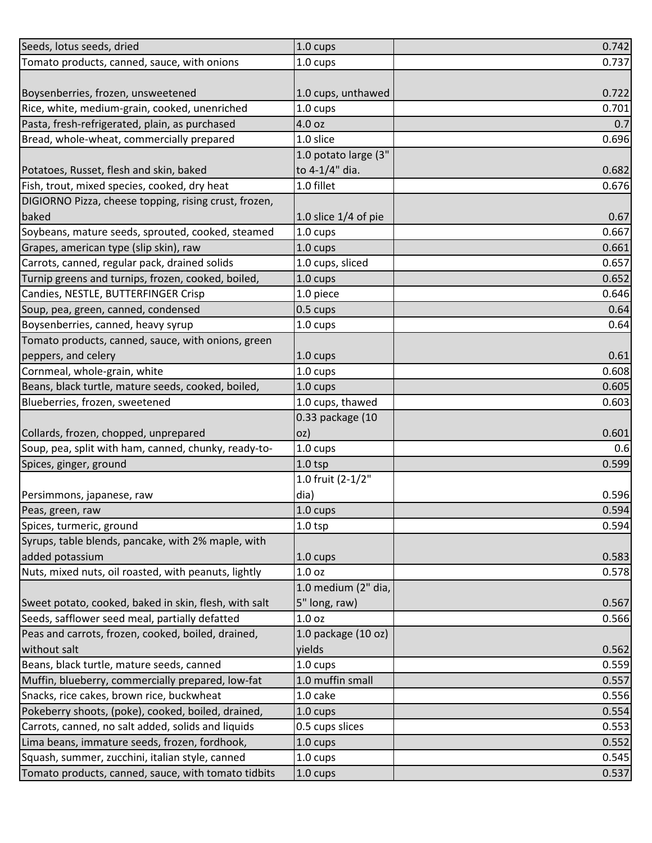| Seeds, lotus seeds, dried                             | 1.0 cups               | 0.742 |
|-------------------------------------------------------|------------------------|-------|
| Tomato products, canned, sauce, with onions           | 1.0 cups               | 0.737 |
|                                                       |                        |       |
| Boysenberries, frozen, unsweetened                    | 1.0 cups, unthawed     | 0.722 |
| Rice, white, medium-grain, cooked, unenriched         | $1.0 \text{ cups}$     | 0.701 |
| Pasta, fresh-refrigerated, plain, as purchased        | 4.0 oz                 | 0.7   |
| Bread, whole-wheat, commercially prepared             | 1.0 slice              | 0.696 |
|                                                       | 1.0 potato large (3"   |       |
| Potatoes, Russet, flesh and skin, baked               | to 4-1/4" dia.         | 0.682 |
| Fish, trout, mixed species, cooked, dry heat          | 1.0 fillet             | 0.676 |
| DIGIORNO Pizza, cheese topping, rising crust, frozen, |                        |       |
| baked                                                 | 1.0 slice $1/4$ of pie | 0.67  |
| Soybeans, mature seeds, sprouted, cooked, steamed     | 1.0 cups               | 0.667 |
| Grapes, american type (slip skin), raw                | $1.0 \text{ cups}$     | 0.661 |
| Carrots, canned, regular pack, drained solids         | 1.0 cups, sliced       | 0.657 |
| Turnip greens and turnips, frozen, cooked, boiled,    | 1.0 cups               | 0.652 |
| Candies, NESTLE, BUTTERFINGER Crisp                   | 1.0 piece              | 0.646 |
| Soup, pea, green, canned, condensed                   | 0.5 cups               | 0.64  |
| Boysenberries, canned, heavy syrup                    | $1.0 \text{ cups}$     | 0.64  |
| Tomato products, canned, sauce, with onions, green    |                        |       |
| peppers, and celery                                   | 1.0 cups               | 0.61  |
| Cornmeal, whole-grain, white                          | 1.0 cups               | 0.608 |
| Beans, black turtle, mature seeds, cooked, boiled,    | 1.0 cups               | 0.605 |
| Blueberries, frozen, sweetened                        | 1.0 cups, thawed       | 0.603 |
|                                                       | 0.33 package (10       |       |
| Collards, frozen, chopped, unprepared                 | oz)                    | 0.601 |
| Soup, pea, split with ham, canned, chunky, ready-to-  | $1.0 \text{ cups}$     | 0.6   |
| Spices, ginger, ground                                | $1.0$ tsp              | 0.599 |
|                                                       | 1.0 fruit (2-1/2"      |       |
| Persimmons, japanese, raw                             | dia)                   | 0.596 |
| Peas, green, raw                                      | 1.0 cups               | 0.594 |
| Spices, turmeric, ground                              | $1.0$ tsp              | 0.594 |
| Syrups, table blends, pancake, with 2% maple, with    |                        |       |
| added potassium                                       | 1.0 cups               | 0.583 |
| Nuts, mixed nuts, oil roasted, with peanuts, lightly  | 1.0 <sub>oz</sub>      | 0.578 |
|                                                       | 1.0 medium (2" dia,    |       |
| Sweet potato, cooked, baked in skin, flesh, with salt | 5" long, raw)          | 0.567 |
| Seeds, safflower seed meal, partially defatted        | 1.0 <sub>oz</sub>      | 0.566 |
| Peas and carrots, frozen, cooked, boiled, drained,    | 1.0 package (10 oz)    |       |
| without salt                                          | yields                 | 0.562 |
| Beans, black turtle, mature seeds, canned             | $1.0 \text{ cups}$     | 0.559 |
| Muffin, blueberry, commercially prepared, low-fat     | 1.0 muffin small       | 0.557 |
| Snacks, rice cakes, brown rice, buckwheat             | 1.0 cake               | 0.556 |
| Pokeberry shoots, (poke), cooked, boiled, drained,    | $1.0 \text{ cups}$     | 0.554 |
| Carrots, canned, no salt added, solids and liquids    | 0.5 cups slices        | 0.553 |
| Lima beans, immature seeds, frozen, fordhook,         | 1.0 cups               | 0.552 |
| Squash, summer, zucchini, italian style, canned       | 1.0 cups               | 0.545 |
| Tomato products, canned, sauce, with tomato tidbits   | $1.0 \text{ cups}$     | 0.537 |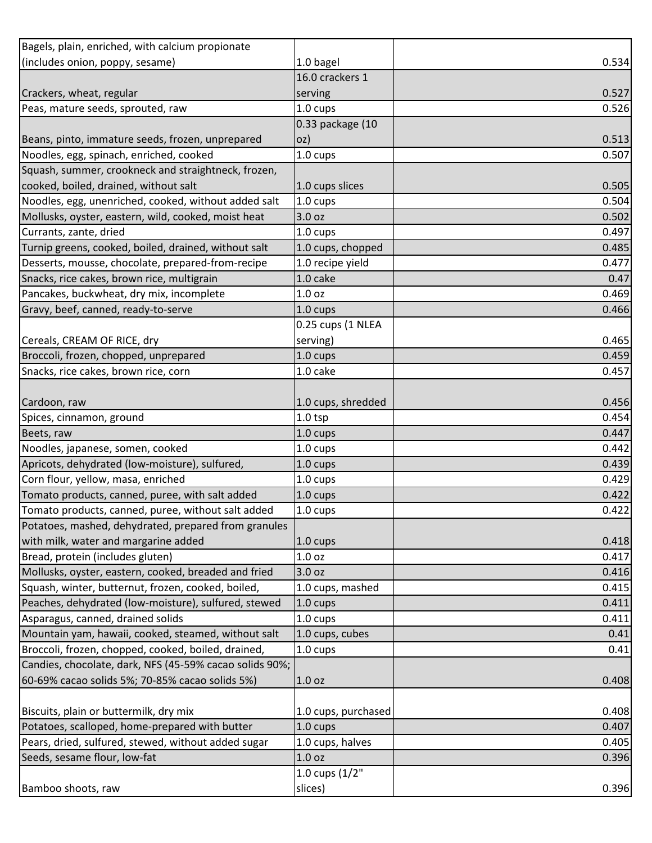| Bagels, plain, enriched, with calcium propionate        |                     |       |
|---------------------------------------------------------|---------------------|-------|
| (includes onion, poppy, sesame)                         | 1.0 bagel           | 0.534 |
|                                                         | 16.0 crackers 1     |       |
| Crackers, wheat, regular                                | serving             | 0.527 |
| Peas, mature seeds, sprouted, raw                       | 1.0 cups            | 0.526 |
|                                                         | 0.33 package (10    |       |
| Beans, pinto, immature seeds, frozen, unprepared        | oz)                 | 0.513 |
| Noodles, egg, spinach, enriched, cooked                 | 1.0 cups            | 0.507 |
| Squash, summer, crookneck and straightneck, frozen,     |                     |       |
| cooked, boiled, drained, without salt                   | 1.0 cups slices     | 0.505 |
| Noodles, egg, unenriched, cooked, without added salt    | 1.0 cups            | 0.504 |
| Mollusks, oyster, eastern, wild, cooked, moist heat     | 3.0 oz              | 0.502 |
| Currants, zante, dried                                  | 1.0 cups            | 0.497 |
| Turnip greens, cooked, boiled, drained, without salt    | 1.0 cups, chopped   | 0.485 |
| Desserts, mousse, chocolate, prepared-from-recipe       | 1.0 recipe yield    | 0.477 |
| Snacks, rice cakes, brown rice, multigrain              | 1.0 cake            | 0.47  |
| Pancakes, buckwheat, dry mix, incomplete                | 1.0 <sub>oz</sub>   | 0.469 |
| Gravy, beef, canned, ready-to-serve                     | $1.0 \text{ cups}$  | 0.466 |
|                                                         | 0.25 cups (1 NLEA   |       |
| Cereals, CREAM OF RICE, dry                             | serving)            | 0.465 |
| Broccoli, frozen, chopped, unprepared                   | 1.0 cups            | 0.459 |
| Snacks, rice cakes, brown rice, corn                    | 1.0 cake            | 0.457 |
|                                                         |                     |       |
| Cardoon, raw                                            | 1.0 cups, shredded  | 0.456 |
| Spices, cinnamon, ground                                | $1.0$ tsp           | 0.454 |
| Beets, raw                                              | 1.0 cups            | 0.447 |
| Noodles, japanese, somen, cooked                        | 1.0 cups            | 0.442 |
| Apricots, dehydrated (low-moisture), sulfured,          | 1.0 cups            | 0.439 |
| Corn flour, yellow, masa, enriched                      | 1.0 cups            | 0.429 |
| Tomato products, canned, puree, with salt added         | 1.0 cups            | 0.422 |
| Tomato products, canned, puree, without salt added      | 1.0 cups            | 0.422 |
| Potatoes, mashed, dehydrated, prepared from granules    |                     |       |
| with milk, water and margarine added                    | 1.0 cups            | 0.418 |
| Bread, protein (includes gluten)                        | 1.0 <sub>oz</sub>   | 0.417 |
| Mollusks, oyster, eastern, cooked, breaded and fried    | 3.0 oz              | 0.416 |
| Squash, winter, butternut, frozen, cooked, boiled,      | 1.0 cups, mashed    | 0.415 |
| Peaches, dehydrated (low-moisture), sulfured, stewed    | 1.0 cups            | 0.411 |
| Asparagus, canned, drained solids                       | 1.0 cups            | 0.411 |
| Mountain yam, hawaii, cooked, steamed, without salt     | 1.0 cups, cubes     | 0.41  |
| Broccoli, frozen, chopped, cooked, boiled, drained,     | 1.0 cups            | 0.41  |
| Candies, chocolate, dark, NFS (45-59% cacao solids 90%; |                     |       |
| 60-69% cacao solids 5%; 70-85% cacao solids 5%)         | 1.0 <sub>oz</sub>   | 0.408 |
|                                                         |                     |       |
| Biscuits, plain or buttermilk, dry mix                  | 1.0 cups, purchased | 0.408 |
| Potatoes, scalloped, home-prepared with butter          | 1.0 cups            | 0.407 |
| Pears, dried, sulfured, stewed, without added sugar     | 1.0 cups, halves    | 0.405 |
| Seeds, sesame flour, low-fat                            | 1.0 <sub>oz</sub>   | 0.396 |
|                                                         | 1.0 cups (1/2"      |       |
| Bamboo shoots, raw                                      | slices)             | 0.396 |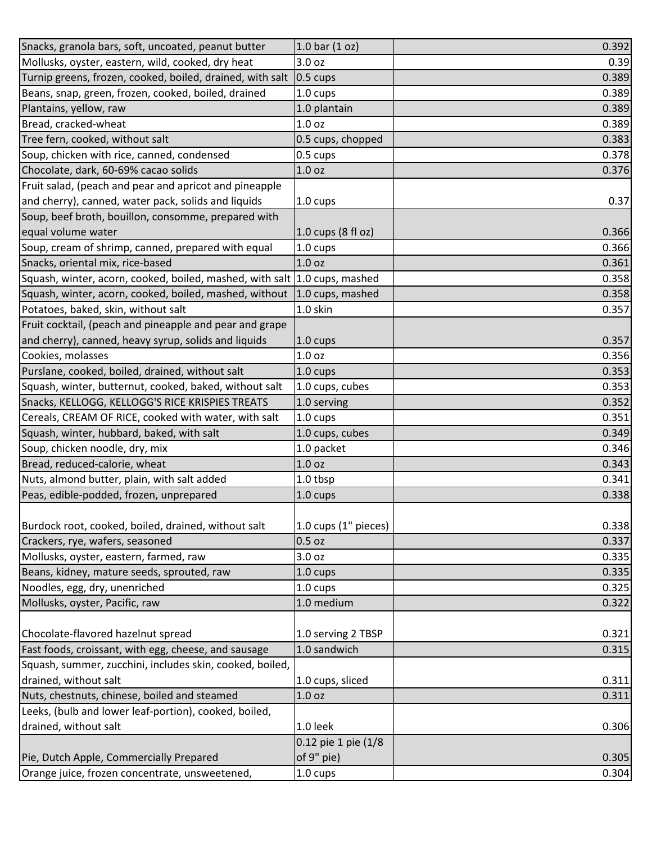| Snacks, granola bars, soft, uncoated, peanut butter                       | 1.0 bar $(1 oz)$     | 0.392 |
|---------------------------------------------------------------------------|----------------------|-------|
| Mollusks, oyster, eastern, wild, cooked, dry heat                         | 3.0 oz               | 0.39  |
| Turnip greens, frozen, cooked, boiled, drained, with salt                 | $0.5 \text{ cups}$   | 0.389 |
| Beans, snap, green, frozen, cooked, boiled, drained                       | 1.0 cups             | 0.389 |
| Plantains, yellow, raw                                                    | 1.0 plantain         | 0.389 |
| Bread, cracked-wheat                                                      | 1.0 <sub>oz</sub>    | 0.389 |
| Tree fern, cooked, without salt                                           | 0.5 cups, chopped    | 0.383 |
| Soup, chicken with rice, canned, condensed                                | $0.5 \text{ cups}$   | 0.378 |
| Chocolate, dark, 60-69% cacao solids                                      | 1.0 oz               | 0.376 |
| Fruit salad, (peach and pear and apricot and pineapple                    |                      |       |
| and cherry), canned, water pack, solids and liquids                       | 1.0 cups             | 0.37  |
| Soup, beef broth, bouillon, consomme, prepared with                       |                      |       |
| equal volume water                                                        | $1.0$ cups (8 fl oz) | 0.366 |
| Soup, cream of shrimp, canned, prepared with equal                        | $1.0 \text{ cups}$   | 0.366 |
| Snacks, oriental mix, rice-based                                          | 1.0 <sub>oz</sub>    | 0.361 |
| Squash, winter, acorn, cooked, boiled, mashed, with salt 1.0 cups, mashed |                      | 0.358 |
| Squash, winter, acorn, cooked, boiled, mashed, without                    | 1.0 cups, mashed     | 0.358 |
| Potatoes, baked, skin, without salt                                       | 1.0 skin             | 0.357 |
| Fruit cocktail, (peach and pineapple and pear and grape                   |                      |       |
| and cherry), canned, heavy syrup, solids and liquids                      | $1.0 \text{ cups}$   | 0.357 |
| Cookies, molasses                                                         | 1.0 <sub>oz</sub>    | 0.356 |
| Purslane, cooked, boiled, drained, without salt                           | $1.0 \text{ cups}$   | 0.353 |
| Squash, winter, butternut, cooked, baked, without salt                    | 1.0 cups, cubes      | 0.353 |
| Snacks, KELLOGG, KELLOGG'S RICE KRISPIES TREATS                           | 1.0 serving          | 0.352 |
| Cereals, CREAM OF RICE, cooked with water, with salt                      | 1.0 cups             | 0.351 |
| Squash, winter, hubbard, baked, with salt                                 | 1.0 cups, cubes      | 0.349 |
| Soup, chicken noodle, dry, mix                                            | 1.0 packet           | 0.346 |
| Bread, reduced-calorie, wheat                                             | 1.0 <sub>oz</sub>    | 0.343 |
| Nuts, almond butter, plain, with salt added                               | 1.0 tbsp             | 0.341 |
| Peas, edible-podded, frozen, unprepared                                   | 1.0 cups             | 0.338 |
|                                                                           |                      |       |
| Burdock root, cooked, boiled, drained, without salt                       | 1.0 cups (1" pieces) | 0.338 |
| Crackers, rye, wafers, seasoned                                           | $0.5$ oz             | 0.337 |
| Mollusks, oyster, eastern, farmed, raw                                    | 3.0 oz               | 0.335 |
| Beans, kidney, mature seeds, sprouted, raw                                | 1.0 cups             | 0.335 |
| Noodles, egg, dry, unenriched                                             | 1.0 cups             | 0.325 |
| Mollusks, oyster, Pacific, raw                                            | 1.0 medium           | 0.322 |
|                                                                           |                      |       |
| Chocolate-flavored hazelnut spread                                        | 1.0 serving 2 TBSP   | 0.321 |
| Fast foods, croissant, with egg, cheese, and sausage                      | 1.0 sandwich         | 0.315 |
| Squash, summer, zucchini, includes skin, cooked, boiled,                  |                      |       |
| drained, without salt                                                     | 1.0 cups, sliced     | 0.311 |
| Nuts, chestnuts, chinese, boiled and steamed                              | 1.0 <sub>oz</sub>    | 0.311 |
| Leeks, (bulb and lower leaf-portion), cooked, boiled,                     |                      |       |
| drained, without salt                                                     | 1.0 leek             | 0.306 |
|                                                                           | 0.12 pie 1 pie (1/8  |       |
| Pie, Dutch Apple, Commercially Prepared                                   | of 9" pie)           | 0.305 |
| Orange juice, frozen concentrate, unsweetened,                            | 1.0 cups             | 0.304 |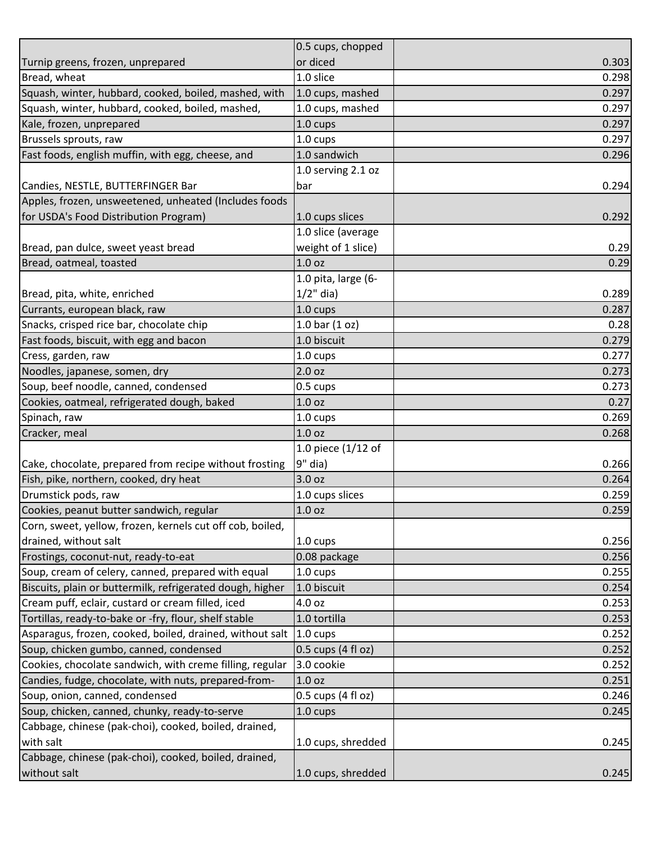|                                                           | 0.5 cups, chopped    |       |
|-----------------------------------------------------------|----------------------|-------|
| Turnip greens, frozen, unprepared                         | or diced             | 0.303 |
| Bread, wheat                                              | 1.0 slice            | 0.298 |
| Squash, winter, hubbard, cooked, boiled, mashed, with     | 1.0 cups, mashed     | 0.297 |
| Squash, winter, hubbard, cooked, boiled, mashed,          | 1.0 cups, mashed     | 0.297 |
| Kale, frozen, unprepared                                  | 1.0 cups             | 0.297 |
| Brussels sprouts, raw                                     | 1.0 cups             | 0.297 |
| Fast foods, english muffin, with egg, cheese, and         | 1.0 sandwich         | 0.296 |
|                                                           | 1.0 serving 2.1 oz   |       |
| Candies, NESTLE, BUTTERFINGER Bar                         | bar                  | 0.294 |
| Apples, frozen, unsweetened, unheated (Includes foods     |                      |       |
| for USDA's Food Distribution Program)                     | 1.0 cups slices      | 0.292 |
|                                                           | 1.0 slice (average   |       |
| Bread, pan dulce, sweet yeast bread                       | weight of 1 slice)   | 0.29  |
| Bread, oatmeal, toasted                                   | 1.0 <sub>oz</sub>    | 0.29  |
|                                                           | 1.0 pita, large (6-  |       |
| Bread, pita, white, enriched                              | $1/2$ " dia)         | 0.289 |
| Currants, european black, raw                             | 1.0 cups             | 0.287 |
| Snacks, crisped rice bar, chocolate chip                  | $1.0$ bar $(1$ oz)   | 0.28  |
| Fast foods, biscuit, with egg and bacon                   | 1.0 biscuit          | 0.279 |
| Cress, garden, raw                                        | 1.0 cups             | 0.277 |
| Noodles, japanese, somen, dry                             | 2.0 <sub>oz</sub>    | 0.273 |
| Soup, beef noodle, canned, condensed                      | $0.5 \text{ cups}$   | 0.273 |
| Cookies, oatmeal, refrigerated dough, baked               | 1.0 <sub>oz</sub>    | 0.27  |
| Spinach, raw                                              | 1.0 cups             | 0.269 |
| Cracker, meal                                             | 1.0 <sub>oz</sub>    | 0.268 |
|                                                           | 1.0 piece (1/12 of   |       |
| Cake, chocolate, prepared from recipe without frosting    | $9"$ dia)            | 0.266 |
| Fish, pike, northern, cooked, dry heat                    | 3.0 <sub>oz</sub>    | 0.264 |
| Drumstick pods, raw                                       | 1.0 cups slices      | 0.259 |
| Cookies, peanut butter sandwich, regular                  | 1.0 <sub>oz</sub>    | 0.259 |
| Corn, sweet, yellow, frozen, kernels cut off cob, boiled, |                      |       |
| drained, without salt                                     | 1.0 cups             | 0.256 |
| Frostings, coconut-nut, ready-to-eat                      | 0.08 package         | 0.256 |
| Soup, cream of celery, canned, prepared with equal        | 1.0 cups             | 0.255 |
| Biscuits, plain or buttermilk, refrigerated dough, higher | 1.0 biscuit          | 0.254 |
| Cream puff, eclair, custard or cream filled, iced         | 4.0 oz               | 0.253 |
| Tortillas, ready-to-bake or -fry, flour, shelf stable     | 1.0 tortilla         | 0.253 |
| Asparagus, frozen, cooked, boiled, drained, without salt  | $1.0 \text{ cups}$   | 0.252 |
| Soup, chicken gumbo, canned, condensed                    | 0.5 cups (4 fl oz)   | 0.252 |
| Cookies, chocolate sandwich, with creme filling, regular  | 3.0 cookie           | 0.252 |
| Candies, fudge, chocolate, with nuts, prepared-from-      | 1.0 <sub>oz</sub>    | 0.251 |
| Soup, onion, canned, condensed                            | $0.5$ cups (4 fl oz) | 0.246 |
| Soup, chicken, canned, chunky, ready-to-serve             | 1.0 cups             | 0.245 |
| Cabbage, chinese (pak-choi), cooked, boiled, drained,     |                      |       |
| with salt                                                 | 1.0 cups, shredded   | 0.245 |
| Cabbage, chinese (pak-choi), cooked, boiled, drained,     |                      |       |
| without salt                                              | 1.0 cups, shredded   | 0.245 |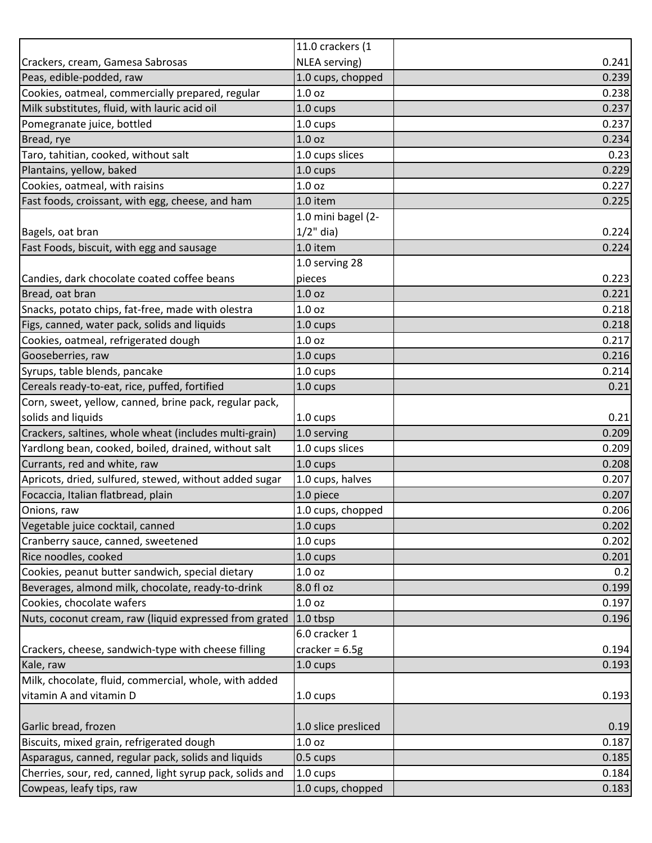|                                                           | 11.0 crackers (1    |       |
|-----------------------------------------------------------|---------------------|-------|
| Crackers, cream, Gamesa Sabrosas                          | NLEA serving)       | 0.241 |
| Peas, edible-podded, raw                                  | 1.0 cups, chopped   | 0.239 |
| Cookies, oatmeal, commercially prepared, regular          | 1.0 <sub>oz</sub>   | 0.238 |
| Milk substitutes, fluid, with lauric acid oil             | $1.0 \text{ cups}$  | 0.237 |
| Pomegranate juice, bottled                                | 1.0 cups            | 0.237 |
| Bread, rye                                                | 1.0 <sub>oz</sub>   | 0.234 |
| Taro, tahitian, cooked, without salt                      | 1.0 cups slices     | 0.23  |
| Plantains, yellow, baked                                  | 1.0 cups            | 0.229 |
| Cookies, oatmeal, with raisins                            | 1.0 <sub>oz</sub>   | 0.227 |
| Fast foods, croissant, with egg, cheese, and ham          | 1.0 item            | 0.225 |
|                                                           | 1.0 mini bagel (2-  |       |
| Bagels, oat bran                                          | $1/2$ " dia)        | 0.224 |
| Fast Foods, biscuit, with egg and sausage                 | 1.0 item            | 0.224 |
|                                                           | 1.0 serving 28      |       |
| Candies, dark chocolate coated coffee beans               | pieces              | 0.223 |
| Bread, oat bran                                           | 1.0 <sub>oz</sub>   | 0.221 |
| Snacks, potato chips, fat-free, made with olestra         | 1.0 <sub>oz</sub>   | 0.218 |
| Figs, canned, water pack, solids and liquids              | $1.0 \text{ cups}$  | 0.218 |
| Cookies, oatmeal, refrigerated dough                      | 1.0 <sub>oz</sub>   | 0.217 |
| Gooseberries, raw                                         | 1.0 cups            | 0.216 |
| Syrups, table blends, pancake                             | 1.0 cups            | 0.214 |
| Cereals ready-to-eat, rice, puffed, fortified             | 1.0 cups            | 0.21  |
| Corn, sweet, yellow, canned, brine pack, regular pack,    |                     |       |
| solids and liquids                                        | 1.0 cups            | 0.21  |
| Crackers, saltines, whole wheat (includes multi-grain)    | 1.0 serving         | 0.209 |
| Yardlong bean, cooked, boiled, drained, without salt      | 1.0 cups slices     | 0.209 |
| Currants, red and white, raw                              | $1.0 \text{ cups}$  | 0.208 |
| Apricots, dried, sulfured, stewed, without added sugar    | 1.0 cups, halves    | 0.207 |
| Focaccia, Italian flatbread, plain                        | 1.0 piece           | 0.207 |
| Onions, raw                                               | 1.0 cups, chopped   | 0.206 |
| Vegetable juice cocktail, canned                          | $1.0 \text{ cups}$  | 0.202 |
| Cranberry sauce, canned, sweetened                        | 1.0 cups            | 0.202 |
| Rice noodles, cooked                                      | 1.0 cups            | 0.201 |
| Cookies, peanut butter sandwich, special dietary          | 1.0 <sub>oz</sub>   | 0.2   |
| Beverages, almond milk, chocolate, ready-to-drink         | 8.0 fl oz           | 0.199 |
| Cookies, chocolate wafers                                 | 1.0 <sub>oz</sub>   | 0.197 |
| Nuts, coconut cream, raw (liquid expressed from grated    | 1.0 tbsp            | 0.196 |
|                                                           | 6.0 cracker 1       |       |
| Crackers, cheese, sandwich-type with cheese filling       | cracker = $6.5g$    | 0.194 |
| Kale, raw                                                 | 1.0 cups            | 0.193 |
| Milk, chocolate, fluid, commercial, whole, with added     |                     |       |
| vitamin A and vitamin D                                   | 1.0 cups            | 0.193 |
|                                                           |                     |       |
| Garlic bread, frozen                                      | 1.0 slice presliced | 0.19  |
| Biscuits, mixed grain, refrigerated dough                 | 1.0 <sub>oz</sub>   | 0.187 |
| Asparagus, canned, regular pack, solids and liquids       | $0.5 \text{ cups}$  | 0.185 |
| Cherries, sour, red, canned, light syrup pack, solids and | 1.0 cups            | 0.184 |
| Cowpeas, leafy tips, raw                                  | 1.0 cups, chopped   | 0.183 |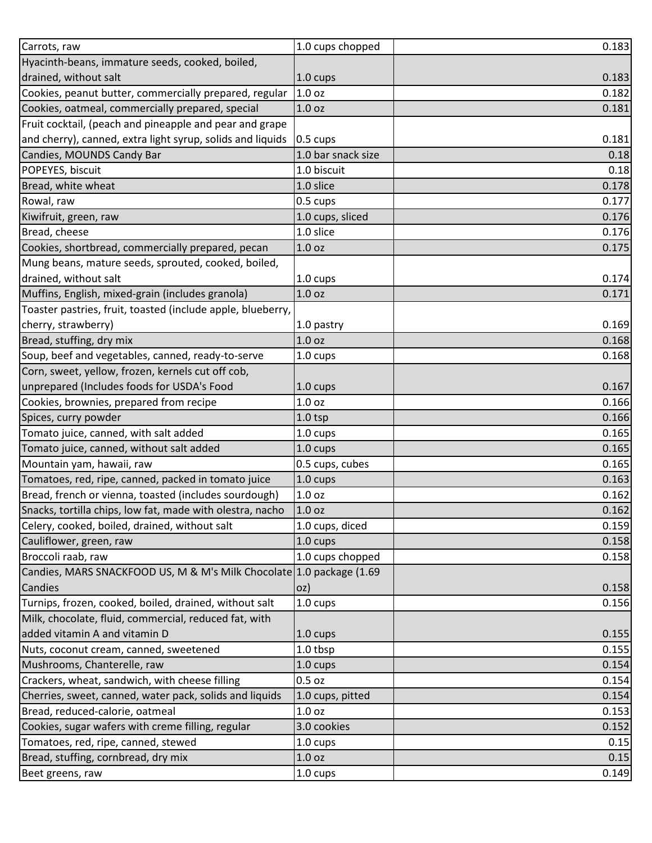| Carrots, raw                                                                                                                                            | 1.0 cups chopped   | 0.183          |
|---------------------------------------------------------------------------------------------------------------------------------------------------------|--------------------|----------------|
| Hyacinth-beans, immature seeds, cooked, boiled,                                                                                                         |                    |                |
| drained, without salt                                                                                                                                   | 1.0 cups           | 0.183          |
| Cookies, peanut butter, commercially prepared, regular                                                                                                  | 1.0 <sub>oz</sub>  | 0.182          |
| Cookies, oatmeal, commercially prepared, special                                                                                                        | 1.0 <sub>oz</sub>  | 0.181          |
| Fruit cocktail, (peach and pineapple and pear and grape                                                                                                 |                    |                |
| and cherry), canned, extra light syrup, solids and liquids                                                                                              | 0.5 cups           | 0.181          |
| Candies, MOUNDS Candy Bar                                                                                                                               | 1.0 bar snack size | 0.18           |
| POPEYES, biscuit                                                                                                                                        | 1.0 biscuit        | 0.18           |
| Bread, white wheat                                                                                                                                      | 1.0 slice          | 0.178          |
| Rowal, raw                                                                                                                                              | 0.5 cups           | 0.177          |
| Kiwifruit, green, raw                                                                                                                                   | 1.0 cups, sliced   | 0.176          |
| Bread, cheese                                                                                                                                           | 1.0 slice          | 0.176          |
| Cookies, shortbread, commercially prepared, pecan                                                                                                       | 1.0 <sub>oz</sub>  | 0.175          |
| Mung beans, mature seeds, sprouted, cooked, boiled,                                                                                                     |                    |                |
| drained, without salt                                                                                                                                   | 1.0 cups           | 0.174          |
| Muffins, English, mixed-grain (includes granola)                                                                                                        | 1.0 <sub>oz</sub>  | 0.171          |
| Toaster pastries, fruit, toasted (include apple, blueberry,                                                                                             |                    |                |
| cherry, strawberry)                                                                                                                                     | 1.0 pastry         | 0.169          |
| Bread, stuffing, dry mix                                                                                                                                | 1.0 <sub>oz</sub>  | 0.168          |
| Soup, beef and vegetables, canned, ready-to-serve                                                                                                       | 1.0 cups           | 0.168          |
| Corn, sweet, yellow, frozen, kernels cut off cob,                                                                                                       |                    |                |
| unprepared (Includes foods for USDA's Food                                                                                                              | 1.0 cups           | 0.167          |
| Cookies, brownies, prepared from recipe                                                                                                                 | 1.0 <sub>oz</sub>  | 0.166          |
| Spices, curry powder                                                                                                                                    | 1.0 <sub>tsp</sub> | 0.166          |
| Tomato juice, canned, with salt added                                                                                                                   | 1.0 cups           | 0.165          |
| Tomato juice, canned, without salt added                                                                                                                | 1.0 cups           | 0.165          |
| Mountain yam, hawaii, raw                                                                                                                               | 0.5 cups, cubes    | 0.165          |
| Tomatoes, red, ripe, canned, packed in tomato juice                                                                                                     | 1.0 cups           | 0.163          |
| Bread, french or vienna, toasted (includes sourdough)                                                                                                   | 1.0 oz             | 0.162          |
| Snacks, tortilla chips, low fat, made with olestra, nacho                                                                                               | 1.0 <sub>oz</sub>  | 0.162          |
| Celery, cooked, boiled, drained, without salt                                                                                                           | 1.0 cups, diced    | 0.159          |
| Cauliflower, green, raw                                                                                                                                 | 1.0 cups           | 0.158          |
| Broccoli raab, raw                                                                                                                                      | 1.0 cups chopped   | 0.158          |
| Candies, MARS SNACKFOOD US, M & M's Milk Chocolate 1.0 package (1.69                                                                                    |                    |                |
| Candies                                                                                                                                                 | oz)                | 0.158          |
| Turnips, frozen, cooked, boiled, drained, without salt                                                                                                  |                    |                |
|                                                                                                                                                         | 1.0 cups           | 0.156          |
| Milk, chocolate, fluid, commercial, reduced fat, with                                                                                                   |                    |                |
|                                                                                                                                                         | $1.0 \text{ cups}$ |                |
| added vitamin A and vitamin D<br>Nuts, coconut cream, canned, sweetened                                                                                 | 1.0 tbsp           | 0.155<br>0.155 |
|                                                                                                                                                         | $1.0 \text{ cups}$ | 0.154          |
|                                                                                                                                                         | $0.5$ oz           | 0.154          |
| Cherries, sweet, canned, water pack, solids and liquids                                                                                                 | 1.0 cups, pitted   | 0.154          |
|                                                                                                                                                         | 1.0 <sub>oz</sub>  | 0.153          |
| Cookies, sugar wafers with creme filling, regular                                                                                                       | 3.0 cookies        | 0.152          |
| Mushrooms, Chanterelle, raw<br>Crackers, wheat, sandwich, with cheese filling<br>Bread, reduced-calorie, oatmeal<br>Tomatoes, red, ripe, canned, stewed | 1.0 cups           | 0.15           |
| Bread, stuffing, cornbread, dry mix                                                                                                                     | 1.0 oz             | 0.15           |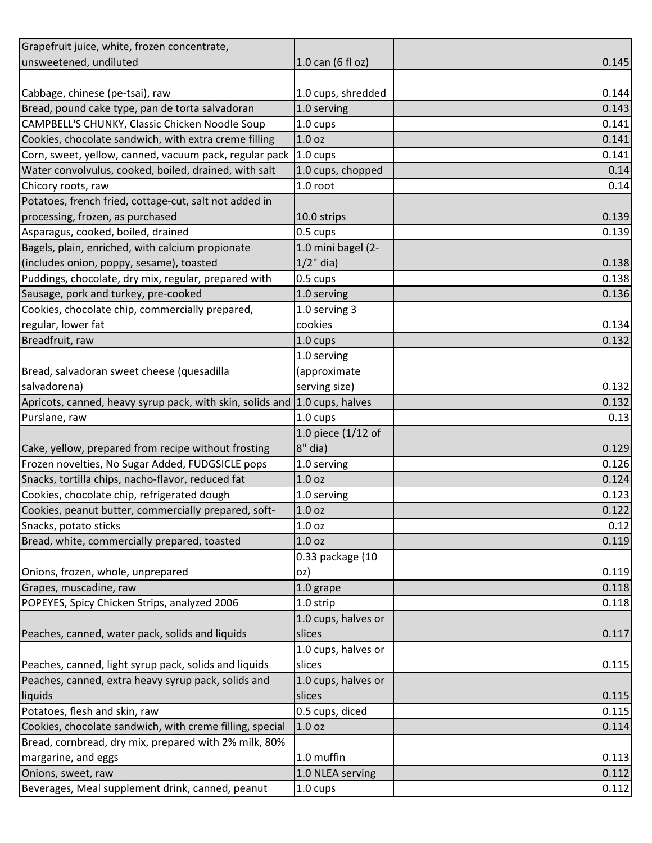| Grapefruit juice, white, frozen concentrate,                               |                     |       |
|----------------------------------------------------------------------------|---------------------|-------|
| unsweetened, undiluted                                                     | 1.0 can (6 fl oz)   | 0.145 |
|                                                                            |                     |       |
| Cabbage, chinese (pe-tsai), raw                                            | 1.0 cups, shredded  | 0.144 |
| Bread, pound cake type, pan de torta salvadoran                            | 1.0 serving         | 0.143 |
| CAMPBELL'S CHUNKY, Classic Chicken Noodle Soup                             | 1.0 cups            | 0.141 |
| Cookies, chocolate sandwich, with extra creme filling                      | 1.0 <sub>oz</sub>   | 0.141 |
| Corn, sweet, yellow, canned, vacuum pack, regular pack 1.0 cups            |                     | 0.141 |
| Water convolvulus, cooked, boiled, drained, with salt                      | 1.0 cups, chopped   | 0.14  |
| Chicory roots, raw                                                         | 1.0 root            | 0.14  |
| Potatoes, french fried, cottage-cut, salt not added in                     |                     |       |
| processing, frozen, as purchased                                           | 10.0 strips         | 0.139 |
| Asparagus, cooked, boiled, drained                                         | 0.5 cups            | 0.139 |
| Bagels, plain, enriched, with calcium propionate                           | 1.0 mini bagel (2-  |       |
| (includes onion, poppy, sesame), toasted                                   | $1/2$ " dia)        | 0.138 |
| Puddings, chocolate, dry mix, regular, prepared with                       | 0.5 cups            | 0.138 |
| Sausage, pork and turkey, pre-cooked                                       | 1.0 serving         | 0.136 |
| Cookies, chocolate chip, commercially prepared,                            | 1.0 serving 3       |       |
| regular, lower fat                                                         | cookies             | 0.134 |
| Breadfruit, raw                                                            | 1.0 cups            | 0.132 |
|                                                                            | 1.0 serving         |       |
| Bread, salvadoran sweet cheese (quesadilla                                 | (approximate        |       |
| salvadorena)                                                               | serving size)       | 0.132 |
| Apricots, canned, heavy syrup pack, with skin, solids and 1.0 cups, halves |                     | 0.132 |
| Purslane, raw                                                              | 1.0 cups            | 0.13  |
|                                                                            | 1.0 piece (1/12 of  |       |
| Cake, yellow, prepared from recipe without frosting                        | $8"$ dia)           | 0.129 |
| Frozen novelties, No Sugar Added, FUDGSICLE pops                           | 1.0 serving         | 0.126 |
| Snacks, tortilla chips, nacho-flavor, reduced fat                          | 1.0 <sub>oz</sub>   | 0.124 |
| Cookies, chocolate chip, refrigerated dough                                | 1.0 serving         | 0.123 |
| Cookies, peanut butter, commercially prepared, soft-                       | 1.0 <sub>oz</sub>   | 0.122 |
| Snacks, potato sticks                                                      | 1.0 <sub>oz</sub>   | 0.12  |
| Bread, white, commercially prepared, toasted                               | 1.0 <sub>oz</sub>   | 0.119 |
|                                                                            | 0.33 package (10    |       |
| Onions, frozen, whole, unprepared                                          | oz)                 | 0.119 |
| Grapes, muscadine, raw                                                     | 1.0 grape           | 0.118 |
| POPEYES, Spicy Chicken Strips, analyzed 2006                               | 1.0 strip           | 0.118 |
|                                                                            | 1.0 cups, halves or |       |
| Peaches, canned, water pack, solids and liquids                            | slices              | 0.117 |
|                                                                            | 1.0 cups, halves or |       |
| Peaches, canned, light syrup pack, solids and liquids                      | slices              | 0.115 |
| Peaches, canned, extra heavy syrup pack, solids and                        | 1.0 cups, halves or |       |
| liquids                                                                    | slices              | 0.115 |
| Potatoes, flesh and skin, raw                                              | 0.5 cups, diced     | 0.115 |
| Cookies, chocolate sandwich, with creme filling, special                   | 1.0 <sub>oz</sub>   | 0.114 |
| Bread, cornbread, dry mix, prepared with 2% milk, 80%                      |                     |       |
| margarine, and eggs                                                        | 1.0 muffin          | 0.113 |
| Onions, sweet, raw                                                         | 1.0 NLEA serving    | 0.112 |
| Beverages, Meal supplement drink, canned, peanut                           | 1.0 cups            | 0.112 |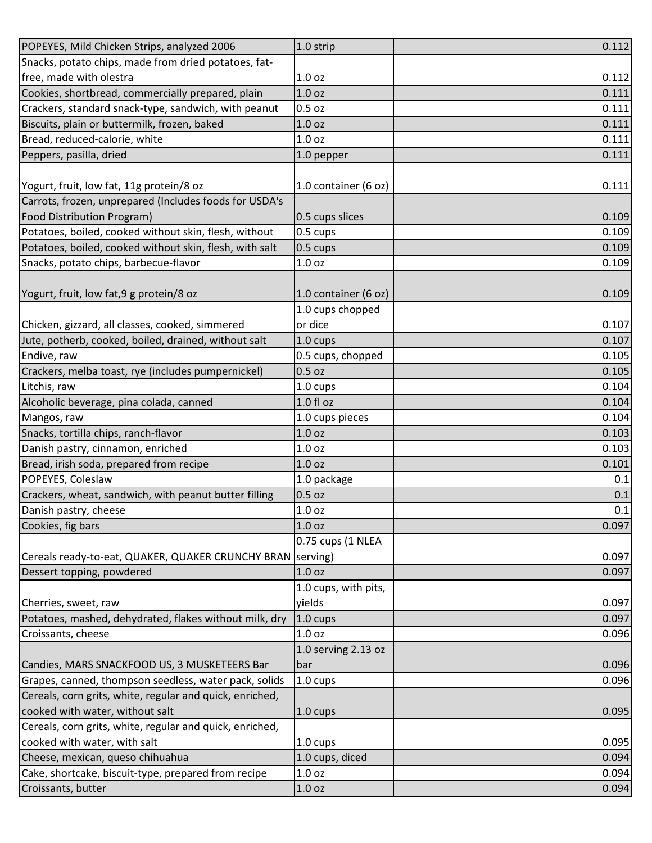| POPEYES, Mild Chicken Strips, analyzed 2006                | 1.0 strip            | 0.112 |
|------------------------------------------------------------|----------------------|-------|
| Snacks, potato chips, made from dried potatoes, fat-       |                      |       |
| free, made with olestra                                    | 1.0 <sub>oz</sub>    | 0.112 |
| Cookies, shortbread, commercially prepared, plain          | 1.0 <sub>oz</sub>    | 0.111 |
| Crackers, standard snack-type, sandwich, with peanut       | $0.5$ oz             | 0.111 |
| Biscuits, plain or buttermilk, frozen, baked               | 1.0 <sub>oz</sub>    | 0.111 |
| Bread, reduced-calorie, white                              | 1.0 <sub>oz</sub>    | 0.111 |
| Peppers, pasilla, dried                                    | 1.0 pepper           | 0.111 |
|                                                            |                      |       |
| Yogurt, fruit, low fat, 11g protein/8 oz                   | 1.0 container (6 oz) | 0.111 |
| Carrots, frozen, unprepared (Includes foods for USDA's     |                      |       |
| <b>Food Distribution Program)</b>                          | 0.5 cups slices      | 0.109 |
| Potatoes, boiled, cooked without skin, flesh, without      | 0.5 cups             | 0.109 |
| Potatoes, boiled, cooked without skin, flesh, with salt    | 0.5 cups             | 0.109 |
| Snacks, potato chips, barbecue-flavor                      | 1.0 <sub>oz</sub>    | 0.109 |
|                                                            |                      |       |
| Yogurt, fruit, low fat, 9 g protein/8 oz                   | 1.0 container (6 oz) | 0.109 |
|                                                            | 1.0 cups chopped     |       |
| Chicken, gizzard, all classes, cooked, simmered            | or dice              | 0.107 |
| Jute, potherb, cooked, boiled, drained, without salt       | 1.0 cups             | 0.107 |
| Endive, raw                                                | 0.5 cups, chopped    | 0.105 |
| Crackers, melba toast, rye (includes pumpernickel)         | $0.5$ oz             | 0.105 |
| Litchis, raw                                               | 1.0 cups             | 0.104 |
| Alcoholic beverage, pina colada, canned                    | $1.0 f$ l oz         | 0.104 |
| Mangos, raw                                                | 1.0 cups pieces      | 0.104 |
| Snacks, tortilla chips, ranch-flavor                       | 1.0 <sub>oz</sub>    | 0.103 |
| Danish pastry, cinnamon, enriched                          | 1.0 <sub>oz</sub>    | 0.103 |
| Bread, irish soda, prepared from recipe                    | 1.0 <sub>oz</sub>    | 0.101 |
| POPEYES, Coleslaw                                          | 1.0 package          | 0.1   |
| Crackers, wheat, sandwich, with peanut butter filling      | $0.5$ oz             | 0.1   |
| Danish pastry, cheese                                      | 1.0 oz               | 0.1   |
| Cookies, fig bars                                          | 1.0 <sub>oz</sub>    | 0.097 |
|                                                            | 0.75 cups (1 NLEA    |       |
| Cereals ready-to-eat, QUAKER, QUAKER CRUNCHY BRAN Serving) |                      | 0.097 |
| Dessert topping, powdered                                  | 1.0 <sub>oz</sub>    | 0.097 |
|                                                            | 1.0 cups, with pits, |       |
| Cherries, sweet, raw                                       | yields               | 0.097 |
| Potatoes, mashed, dehydrated, flakes without milk, dry     | $1.0 \text{ cups}$   | 0.097 |
| Croissants, cheese                                         | 1.0 <sub>oz</sub>    | 0.096 |
|                                                            | 1.0 serving 2.13 oz  |       |
| Candies, MARS SNACKFOOD US, 3 MUSKETEERS Bar               | bar                  | 0.096 |
| Grapes, canned, thompson seedless, water pack, solids      | 1.0 cups             | 0.096 |
| Cereals, corn grits, white, regular and quick, enriched,   |                      |       |
| cooked with water, without salt                            | $1.0 \text{ cups}$   | 0.095 |
| Cereals, corn grits, white, regular and quick, enriched,   |                      |       |
| cooked with water, with salt                               | 1.0 cups             | 0.095 |
| Cheese, mexican, queso chihuahua                           | 1.0 cups, diced      | 0.094 |
| Cake, shortcake, biscuit-type, prepared from recipe        | 1.0 <sub>oz</sub>    | 0.094 |
| Croissants, butter                                         | 1.0 oz               | 0.094 |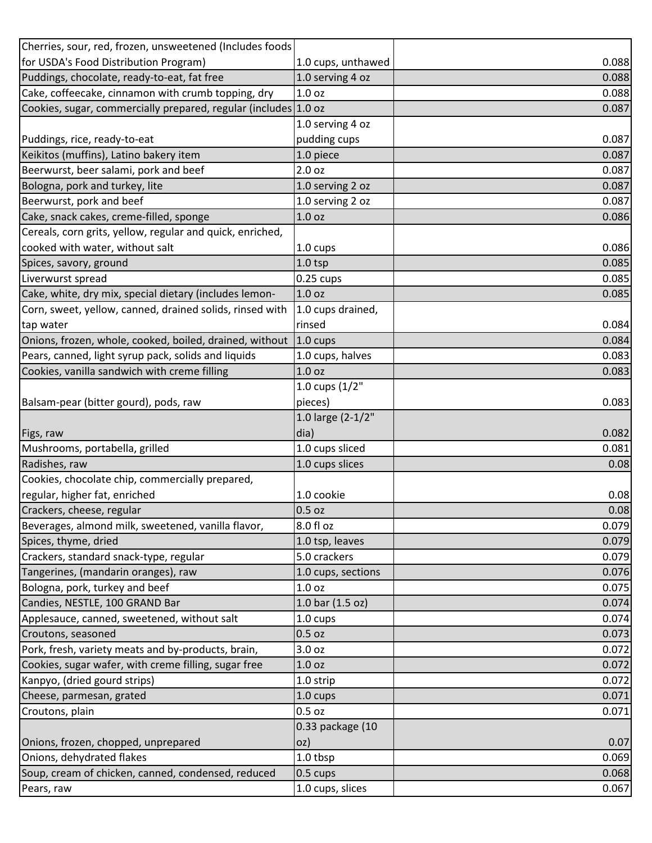| Cherries, sour, red, frozen, unsweetened (Includes foods         |                              |                                                  |
|------------------------------------------------------------------|------------------------------|--------------------------------------------------|
| for USDA's Food Distribution Program)                            | 1.0 cups, unthawed           | 0.088                                            |
| Puddings, chocolate, ready-to-eat, fat free                      | 1.0 serving 4 oz             | 0.088                                            |
| Cake, coffeecake, cinnamon with crumb topping, dry               | 1.0 <sub>oz</sub>            | 0.088                                            |
| Cookies, sugar, commercially prepared, regular (includes 1.0 oz  |                              | 0.087                                            |
|                                                                  | 1.0 serving 4 oz             |                                                  |
| Puddings, rice, ready-to-eat                                     | pudding cups                 | 0.087                                            |
| Keikitos (muffins), Latino bakery item                           | 1.0 piece                    | 0.087                                            |
| Beerwurst, beer salami, pork and beef                            | 2.0 <sub>oz</sub>            | 0.087                                            |
| Bologna, pork and turkey, lite                                   | 1.0 serving 2 oz             | 0.087                                            |
| Beerwurst, pork and beef                                         | 1.0 serving 2 oz             | 0.087                                            |
| Cake, snack cakes, creme-filled, sponge                          | 1.0 <sub>oz</sub>            | 0.086                                            |
| Cereals, corn grits, yellow, regular and quick, enriched,        |                              |                                                  |
| cooked with water, without salt                                  | 1.0 cups                     | 0.086                                            |
| Spices, savory, ground                                           | 1.0 <sub>tsp</sub>           | 0.085                                            |
| Liverwurst spread                                                | $0.25$ cups                  | 0.085                                            |
| Cake, white, dry mix, special dietary (includes lemon-           | 1.0 <sub>oz</sub>            | 0.085                                            |
| Corn, sweet, yellow, canned, drained solids, rinsed with         | 1.0 cups drained,            |                                                  |
| tap water                                                        | rinsed                       | 0.084                                            |
| Onions, frozen, whole, cooked, boiled, drained, without          | $1.0 \text{ cups}$           | 0.084                                            |
| Pears, canned, light syrup pack, solids and liquids              | 1.0 cups, halves             | 0.083                                            |
| Cookies, vanilla sandwich with creme filling                     | 1.0 <sub>oz</sub>            | 0.083                                            |
|                                                                  | 1.0 cups $(1/2"$             |                                                  |
| Balsam-pear (bitter gourd), pods, raw                            | pieces)                      | 0.083                                            |
|                                                                  |                              |                                                  |
|                                                                  | 1.0 large (2-1/2"            |                                                  |
|                                                                  | dia)                         | 0.082                                            |
| Figs, raw<br>Mushrooms, portabella, grilled                      | 1.0 cups sliced              | 0.081                                            |
| Radishes, raw                                                    | 1.0 cups slices              | 0.08                                             |
| Cookies, chocolate chip, commercially prepared,                  |                              |                                                  |
| regular, higher fat, enriched                                    | 1.0 cookie                   |                                                  |
| Crackers, cheese, regular                                        | $0.5$ oz                     |                                                  |
| Beverages, almond milk, sweetened, vanilla flavor,               | 8.0 fl oz                    |                                                  |
| Spices, thyme, dried                                             | 1.0 tsp, leaves              |                                                  |
| Crackers, standard snack-type, regular                           | 5.0 crackers                 |                                                  |
| Tangerines, (mandarin oranges), raw                              | 1.0 cups, sections           | 0.08<br>0.08<br>0.079<br>0.079<br>0.079<br>0.076 |
| Bologna, pork, turkey and beef                                   | 1.0 <sub>oz</sub>            |                                                  |
| Candies, NESTLE, 100 GRAND Bar                                   | 1.0 bar (1.5 oz)             | 0.075<br>0.074                                   |
| Applesauce, canned, sweetened, without salt                      | 1.0 cups                     |                                                  |
| Croutons, seasoned                                               | $0.5$ oz                     | 0.074<br>0.073                                   |
| Pork, fresh, variety meats and by-products, brain,               | 3.0 oz                       | 0.072                                            |
| Cookies, sugar wafer, with creme filling, sugar free             | 1.0 <sub>oz</sub>            | 0.072                                            |
| Kanpyo, (dried gourd strips)                                     | 1.0 strip                    | 0.072                                            |
| Cheese, parmesan, grated                                         | 1.0 cups                     | 0.071                                            |
| Croutons, plain                                                  | $0.5$ oz                     |                                                  |
|                                                                  | 0.33 package (10             |                                                  |
| Onions, frozen, chopped, unprepared                              | oz)                          | 0.071<br>0.07                                    |
| Onions, dehydrated flakes                                        | 1.0 tbsp                     | 0.069                                            |
| Soup, cream of chicken, canned, condensed, reduced<br>Pears, raw | 0.5 cups<br>1.0 cups, slices | 0.068<br>0.067                                   |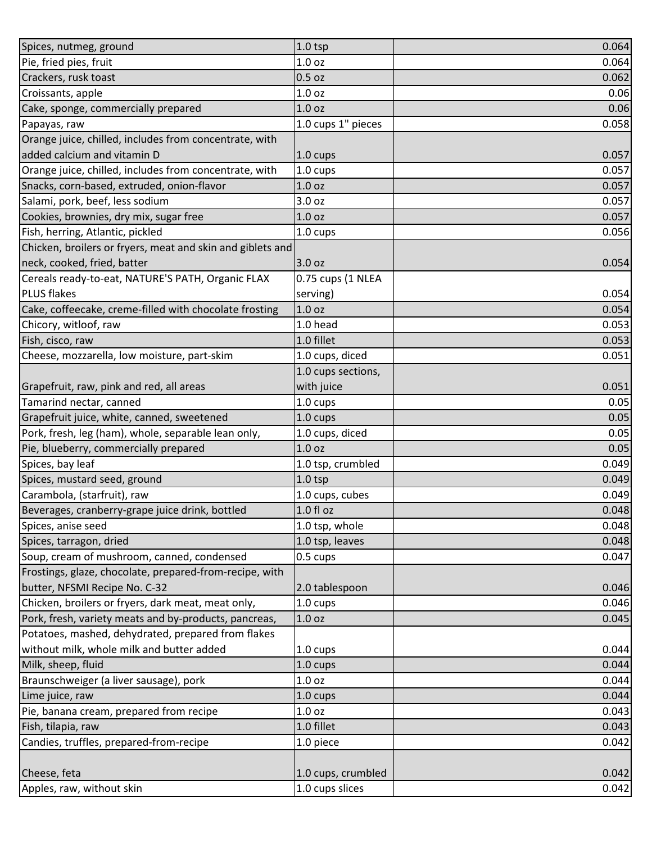| Spices, nutmeg, ground                                     | $1.0$ tsp          | 0.064 |
|------------------------------------------------------------|--------------------|-------|
| Pie, fried pies, fruit                                     | 1.0 <sub>oz</sub>  | 0.064 |
| Crackers, rusk toast                                       | $0.5$ oz           | 0.062 |
| Croissants, apple                                          | 1.0 <sub>oz</sub>  | 0.06  |
| Cake, sponge, commercially prepared                        | 1.0 <sub>oz</sub>  | 0.06  |
| Papayas, raw                                               | 1.0 cups 1" pieces | 0.058 |
| Orange juice, chilled, includes from concentrate, with     |                    |       |
| added calcium and vitamin D                                | 1.0 cups           | 0.057 |
| Orange juice, chilled, includes from concentrate, with     | 1.0 cups           | 0.057 |
| Snacks, corn-based, extruded, onion-flavor                 | 1.0 <sub>oz</sub>  | 0.057 |
| Salami, pork, beef, less sodium                            | 3.0 oz             | 0.057 |
| Cookies, brownies, dry mix, sugar free                     | 1.0 <sub>oz</sub>  | 0.057 |
| Fish, herring, Atlantic, pickled                           | 1.0 cups           | 0.056 |
| Chicken, broilers or fryers, meat and skin and giblets and |                    |       |
| neck, cooked, fried, batter                                | 3.0 oz             | 0.054 |
| Cereals ready-to-eat, NATURE'S PATH, Organic FLAX          | 0.75 cups (1 NLEA  |       |
| <b>PLUS flakes</b>                                         | serving)           | 0.054 |
| Cake, coffeecake, creme-filled with chocolate frosting     | 1.0 <sub>oz</sub>  | 0.054 |
| Chicory, witloof, raw                                      | 1.0 head           | 0.053 |
| Fish, cisco, raw                                           | 1.0 fillet         | 0.053 |
| Cheese, mozzarella, low moisture, part-skim                | 1.0 cups, diced    | 0.051 |
|                                                            | 1.0 cups sections, |       |
| Grapefruit, raw, pink and red, all areas                   | with juice         | 0.051 |
| Tamarind nectar, canned                                    | 1.0 cups           | 0.05  |
| Grapefruit juice, white, canned, sweetened                 | 1.0 cups           | 0.05  |
| Pork, fresh, leg (ham), whole, separable lean only,        | 1.0 cups, diced    | 0.05  |
| Pie, blueberry, commercially prepared                      | 1.0 <sub>oz</sub>  | 0.05  |
| Spices, bay leaf                                           | 1.0 tsp, crumbled  | 0.049 |
| Spices, mustard seed, ground                               | $1.0$ tsp          | 0.049 |
| Carambola, (starfruit), raw                                | 1.0 cups, cubes    | 0.049 |
| Beverages, cranberry-grape juice drink, bottled            | 1.0 fl oz          | 0.048 |
| Spices, anise seed                                         | 1.0 tsp, whole     | 0.048 |
| Spices, tarragon, dried                                    | 1.0 tsp, leaves    | 0.048 |
| Soup, cream of mushroom, canned, condensed                 | 0.5 cups           | 0.047 |
| Frostings, glaze, chocolate, prepared-from-recipe, with    |                    |       |
| butter, NFSMI Recipe No. C-32                              | 2.0 tablespoon     | 0.046 |
| Chicken, broilers or fryers, dark meat, meat only,         | $1.0 \text{ cups}$ | 0.046 |
| Pork, fresh, variety meats and by-products, pancreas,      | 1.0 <sub>oz</sub>  | 0.045 |
| Potatoes, mashed, dehydrated, prepared from flakes         |                    |       |
| without milk, whole milk and butter added                  | 1.0 cups           | 0.044 |
| Milk, sheep, fluid                                         | 1.0 cups           | 0.044 |
| Braunschweiger (a liver sausage), pork                     | 1.0 <sub>oz</sub>  | 0.044 |
| Lime juice, raw                                            | $1.0 \text{ cups}$ | 0.044 |
| Pie, banana cream, prepared from recipe                    | 1.0 <sub>oz</sub>  | 0.043 |
| Fish, tilapia, raw                                         | 1.0 fillet         | 0.043 |
| Candies, truffles, prepared-from-recipe                    | 1.0 piece          | 0.042 |
|                                                            |                    |       |
| Cheese, feta                                               | 1.0 cups, crumbled | 0.042 |
| Apples, raw, without skin                                  | 1.0 cups slices    | 0.042 |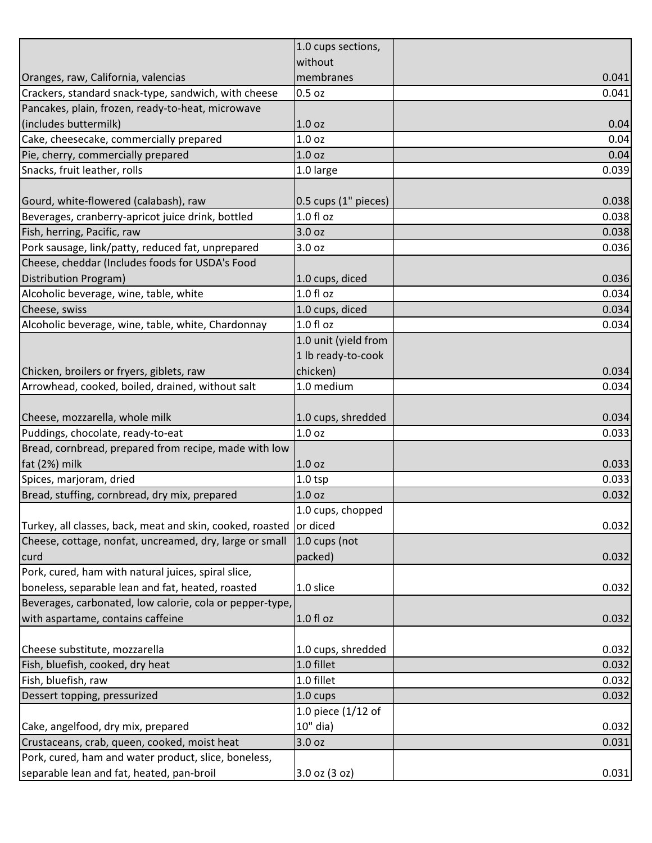|                                                                    | 1.0 cups sections,   |       |
|--------------------------------------------------------------------|----------------------|-------|
|                                                                    | without              |       |
| Oranges, raw, California, valencias                                | membranes            | 0.041 |
| Crackers, standard snack-type, sandwich, with cheese               | $0.5$ oz             | 0.041 |
| Pancakes, plain, frozen, ready-to-heat, microwave                  |                      |       |
| (includes buttermilk)                                              | 1.0 <sub>oz</sub>    | 0.04  |
| Cake, cheesecake, commercially prepared                            | 1.0 <sub>oz</sub>    | 0.04  |
| Pie, cherry, commercially prepared                                 | 1.0 <sub>oz</sub>    | 0.04  |
| Snacks, fruit leather, rolls                                       | 1.0 large            | 0.039 |
|                                                                    |                      |       |
| Gourd, white-flowered (calabash), raw                              | 0.5 cups (1" pieces) | 0.038 |
| Beverages, cranberry-apricot juice drink, bottled                  | $1.0 f$ l oz         | 0.038 |
| Fish, herring, Pacific, raw                                        | 3.0 oz               | 0.038 |
| Pork sausage, link/patty, reduced fat, unprepared                  | 3.0 <sub>oz</sub>    | 0.036 |
| Cheese, cheddar (Includes foods for USDA's Food                    |                      |       |
| Distribution Program)                                              | 1.0 cups, diced      | 0.036 |
| Alcoholic beverage, wine, table, white                             | 1.0 f1 oz            | 0.034 |
| Cheese, swiss                                                      | 1.0 cups, diced      | 0.034 |
| Alcoholic beverage, wine, table, white, Chardonnay                 | 1.0 fl oz            | 0.034 |
|                                                                    | 1.0 unit (yield from |       |
|                                                                    | 1 lb ready-to-cook   |       |
| Chicken, broilers or fryers, giblets, raw                          | chicken)             | 0.034 |
| Arrowhead, cooked, boiled, drained, without salt                   | 1.0 medium           | 0.034 |
|                                                                    |                      |       |
| Cheese, mozzarella, whole milk                                     | 1.0 cups, shredded   | 0.034 |
| Puddings, chocolate, ready-to-eat                                  | 1.0 <sub>oz</sub>    | 0.033 |
| Bread, cornbread, prepared from recipe, made with low              |                      |       |
| fat (2%) milk                                                      | 1.0 <sub>oz</sub>    | 0.033 |
| Spices, marjoram, dried                                            | 1.0 <sub>tsp</sub>   | 0.033 |
| Bread, stuffing, cornbread, dry mix, prepared                      | 1.0 <sub>oz</sub>    | 0.032 |
|                                                                    | 1.0 cups, chopped    |       |
| Turkey, all classes, back, meat and skin, cooked, roasted or diced |                      | 0.032 |
| Cheese, cottage, nonfat, uncreamed, dry, large or small            | 1.0 cups (not        |       |
| curd                                                               | packed)              | 0.032 |
| Pork, cured, ham with natural juices, spiral slice,                |                      |       |
| boneless, separable lean and fat, heated, roasted                  | 1.0 slice            | 0.032 |
| Beverages, carbonated, low calorie, cola or pepper-type,           |                      |       |
| with aspartame, contains caffeine                                  | 1.0 fl oz            | 0.032 |
|                                                                    |                      |       |
| Cheese substitute, mozzarella                                      | 1.0 cups, shredded   | 0.032 |
| Fish, bluefish, cooked, dry heat                                   | 1.0 fillet           | 0.032 |
| Fish, bluefish, raw                                                | 1.0 fillet           | 0.032 |
| Dessert topping, pressurized                                       | 1.0 cups             | 0.032 |
|                                                                    | 1.0 piece (1/12 of   |       |
| Cake, angelfood, dry mix, prepared                                 | 10" dia)             | 0.032 |
| Crustaceans, crab, queen, cooked, moist heat                       | 3.0 oz               | 0.031 |
| Pork, cured, ham and water product, slice, boneless,               |                      |       |
| separable lean and fat, heated, pan-broil                          | 3.0 oz (3 oz)        | 0.031 |
|                                                                    |                      |       |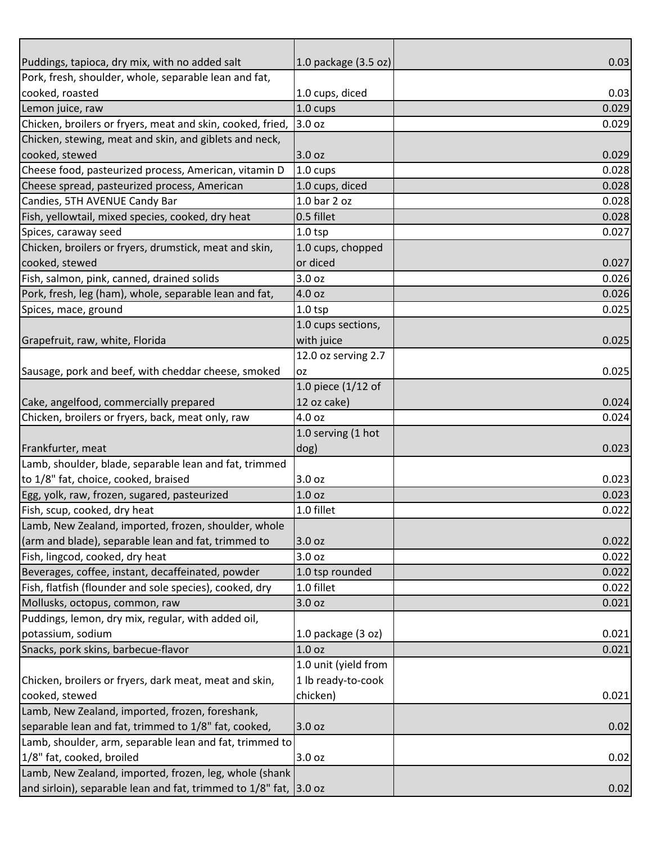| Puddings, tapioca, dry mix, with no added salt                    | 1.0 package $(3.5 \text{ oz})$ | 0.03  |
|-------------------------------------------------------------------|--------------------------------|-------|
| Pork, fresh, shoulder, whole, separable lean and fat,             |                                |       |
| cooked, roasted                                                   | 1.0 cups, diced                | 0.03  |
| Lemon juice, raw                                                  | $1.0 \text{ cups}$             | 0.029 |
| Chicken, broilers or fryers, meat and skin, cooked, fried,        | 3.0 oz                         | 0.029 |
| Chicken, stewing, meat and skin, and giblets and neck,            |                                |       |
| cooked, stewed                                                    | 3.0 oz                         | 0.029 |
| Cheese food, pasteurized process, American, vitamin D             | $1.0 \text{ cups}$             | 0.028 |
| Cheese spread, pasteurized process, American                      | 1.0 cups, diced                | 0.028 |
| Candies, 5TH AVENUE Candy Bar                                     | 1.0 bar 2 oz                   | 0.028 |
| Fish, yellowtail, mixed species, cooked, dry heat                 | 0.5 fillet                     | 0.028 |
| Spices, caraway seed                                              | $1.0$ tsp                      | 0.027 |
| Chicken, broilers or fryers, drumstick, meat and skin,            | 1.0 cups, chopped              |       |
| cooked, stewed                                                    | or diced                       | 0.027 |
| Fish, salmon, pink, canned, drained solids                        | 3.0 <sub>oz</sub>              | 0.026 |
| Pork, fresh, leg (ham), whole, separable lean and fat,            | 4.0 oz                         | 0.026 |
| Spices, mace, ground                                              | $1.0$ tsp                      | 0.025 |
|                                                                   | 1.0 cups sections,             |       |
| Grapefruit, raw, white, Florida                                   | with juice                     | 0.025 |
|                                                                   | 12.0 oz serving 2.7            |       |
| Sausage, pork and beef, with cheddar cheese, smoked               | <b>OZ</b>                      | 0.025 |
|                                                                   | 1.0 piece $(1/12$ of           |       |
| Cake, angelfood, commercially prepared                            | 12 oz cake)                    | 0.024 |
| Chicken, broilers or fryers, back, meat only, raw                 | 4.0 oz                         | 0.024 |
|                                                                   | 1.0 serving (1 hot             |       |
| Frankfurter, meat                                                 | dog)                           | 0.023 |
| Lamb, shoulder, blade, separable lean and fat, trimmed            |                                |       |
| to 1/8" fat, choice, cooked, braised                              | 3.0 oz                         | 0.023 |
| Egg, yolk, raw, frozen, sugared, pasteurized                      | 1.0 <sub>oz</sub>              | 0.023 |
| Fish, scup, cooked, dry heat                                      | 1.0 fillet                     | 0.022 |
| Lamb, New Zealand, imported, frozen, shoulder, whole              |                                |       |
| (arm and blade), separable lean and fat, trimmed to               | 3.0 oz                         | 0.022 |
| Fish, lingcod, cooked, dry heat                                   | 3.0 oz                         | 0.022 |
| Beverages, coffee, instant, decaffeinated, powder                 | 1.0 tsp rounded                | 0.022 |
| Fish, flatfish (flounder and sole species), cooked, dry           | 1.0 fillet                     | 0.022 |
| Mollusks, octopus, common, raw                                    | 3.0 <sub>oz</sub>              | 0.021 |
| Puddings, lemon, dry mix, regular, with added oil,                |                                |       |
| potassium, sodium                                                 | 1.0 package $(3 oz)$           | 0.021 |
| Snacks, pork skins, barbecue-flavor                               | 1.0 <sub>oz</sub>              | 0.021 |
|                                                                   | 1.0 unit (yield from           |       |
| Chicken, broilers or fryers, dark meat, meat and skin,            | 1 lb ready-to-cook             |       |
| cooked, stewed                                                    | chicken)                       | 0.021 |
| Lamb, New Zealand, imported, frozen, foreshank,                   |                                |       |
| separable lean and fat, trimmed to 1/8" fat, cooked,              | 3.0 oz                         | 0.02  |
| Lamb, shoulder, arm, separable lean and fat, trimmed to           |                                |       |
| 1/8" fat, cooked, broiled                                         | 3.0 oz                         | 0.02  |
| Lamb, New Zealand, imported, frozen, leg, whole (shank            |                                |       |
| and sirloin), separable lean and fat, trimmed to 1/8" fat, 3.0 oz |                                | 0.02  |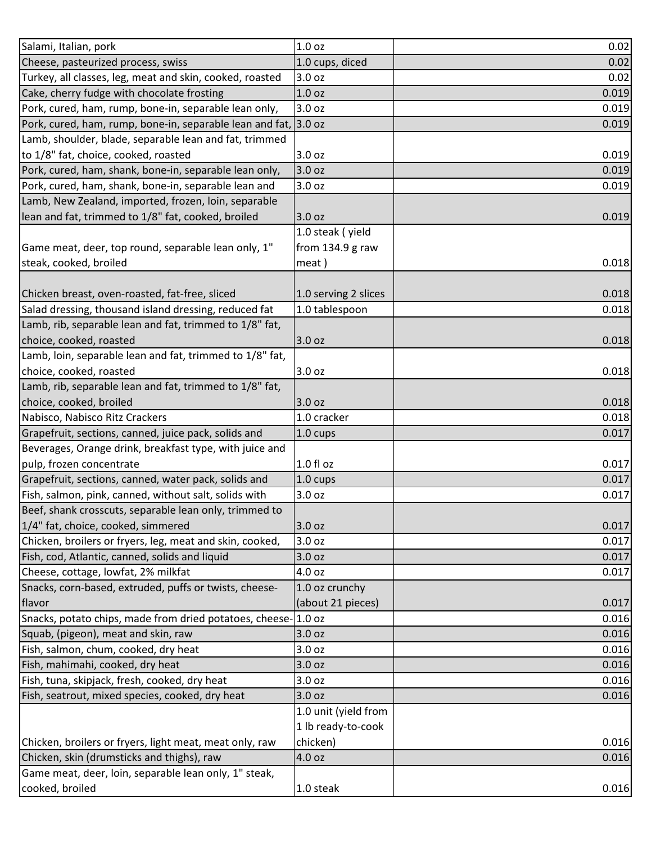| Salami, Italian, pork                                           | 1.0 <sub>oz</sub>    | 0.02  |
|-----------------------------------------------------------------|----------------------|-------|
| Cheese, pasteurized process, swiss                              | 1.0 cups, diced      | 0.02  |
| Turkey, all classes, leg, meat and skin, cooked, roasted        | 3.0 oz               | 0.02  |
| Cake, cherry fudge with chocolate frosting                      | 1.0 <sub>oz</sub>    | 0.019 |
| Pork, cured, ham, rump, bone-in, separable lean only,           | 3.0 oz               | 0.019 |
| Pork, cured, ham, rump, bone-in, separable lean and fat, 3.0 oz |                      | 0.019 |
| Lamb, shoulder, blade, separable lean and fat, trimmed          |                      |       |
| to 1/8" fat, choice, cooked, roasted                            | 3.0 oz               | 0.019 |
| Pork, cured, ham, shank, bone-in, separable lean only,          | 3.0 oz               | 0.019 |
| Pork, cured, ham, shank, bone-in, separable lean and            | 3.0 oz               | 0.019 |
| Lamb, New Zealand, imported, frozen, loin, separable            |                      |       |
| lean and fat, trimmed to 1/8" fat, cooked, broiled              | 3.0 oz               | 0.019 |
|                                                                 | 1.0 steak (yield     |       |
| Game meat, deer, top round, separable lean only, 1"             | from 134.9 g raw     |       |
| steak, cooked, broiled                                          | meat)                | 0.018 |
|                                                                 |                      |       |
| Chicken breast, oven-roasted, fat-free, sliced                  | 1.0 serving 2 slices | 0.018 |
| Salad dressing, thousand island dressing, reduced fat           | 1.0 tablespoon       | 0.018 |
| Lamb, rib, separable lean and fat, trimmed to 1/8" fat,         |                      |       |
| choice, cooked, roasted                                         | 3.0 oz               | 0.018 |
| Lamb, loin, separable lean and fat, trimmed to 1/8" fat,        |                      |       |
| choice, cooked, roasted                                         | 3.0 <sub>oz</sub>    | 0.018 |
| Lamb, rib, separable lean and fat, trimmed to 1/8" fat,         |                      |       |
| choice, cooked, broiled                                         | 3.0 <sub>oz</sub>    | 0.018 |
| Nabisco, Nabisco Ritz Crackers                                  | 1.0 cracker          | 0.018 |
| Grapefruit, sections, canned, juice pack, solids and            | 1.0 cups             | 0.017 |
| Beverages, Orange drink, breakfast type, with juice and         |                      |       |
| pulp, frozen concentrate                                        | $1.0 f$ l oz         | 0.017 |
| Grapefruit, sections, canned, water pack, solids and            | 1.0 cups             | 0.017 |
| Fish, salmon, pink, canned, without salt, solids with           | 3.0 <sub>oz</sub>    | 0.017 |
| Beef, shank crosscuts, separable lean only, trimmed to          |                      |       |
| 1/4" fat, choice, cooked, simmered                              | 3.0 <sub>oz</sub>    | 0.017 |
| Chicken, broilers or fryers, leg, meat and skin, cooked,        | 3.0 <sub>oz</sub>    | 0.017 |
| Fish, cod, Atlantic, canned, solids and liquid                  | 3.0 oz               | 0.017 |
| Cheese, cottage, lowfat, 2% milkfat                             | 4.0 oz               | 0.017 |
| Snacks, corn-based, extruded, puffs or twists, cheese-          | 1.0 oz crunchy       |       |
| flavor                                                          | (about 21 pieces)    | 0.017 |
| Snacks, potato chips, made from dried potatoes, cheese-1.0 oz   |                      | 0.016 |
| Squab, (pigeon), meat and skin, raw                             | 3.0 oz               | 0.016 |
| Fish, salmon, chum, cooked, dry heat                            | 3.0 <sub>oz</sub>    | 0.016 |
| Fish, mahimahi, cooked, dry heat                                | 3.0 <sub>oz</sub>    | 0.016 |
| Fish, tuna, skipjack, fresh, cooked, dry heat                   | 3.0 oz               | 0.016 |
| Fish, seatrout, mixed species, cooked, dry heat                 | 3.0 oz               | 0.016 |
|                                                                 | 1.0 unit (yield from |       |
|                                                                 | 1 lb ready-to-cook   |       |
| Chicken, broilers or fryers, light meat, meat only, raw         | chicken)             | 0.016 |
| Chicken, skin (drumsticks and thighs), raw                      | 4.0 oz               | 0.016 |
| Game meat, deer, loin, separable lean only, 1" steak,           |                      |       |
| cooked, broiled                                                 | 1.0 steak            | 0.016 |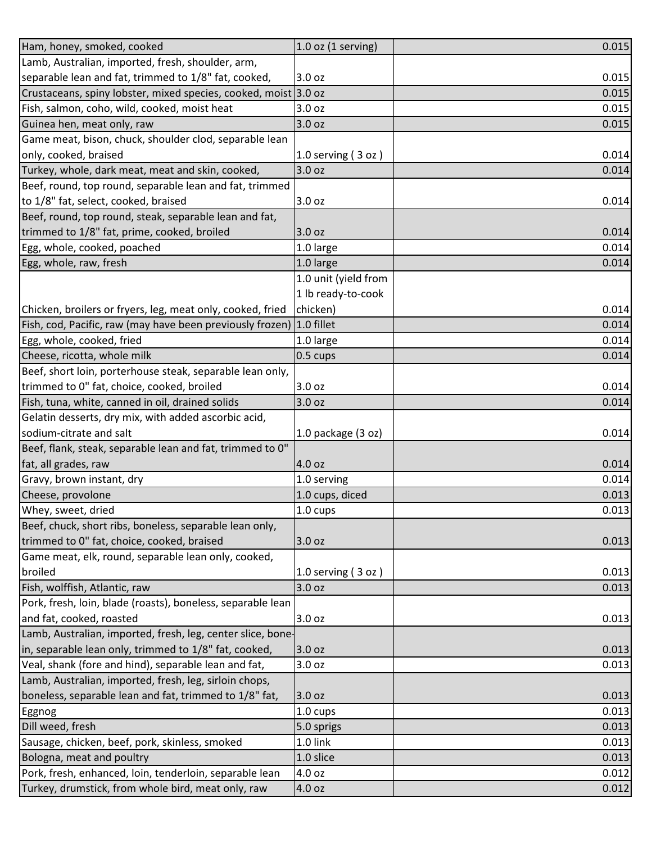| Ham, honey, smoked, cooked                                      | $1.0$ oz (1 serving) | 0.015 |
|-----------------------------------------------------------------|----------------------|-------|
| Lamb, Australian, imported, fresh, shoulder, arm,               |                      |       |
| separable lean and fat, trimmed to 1/8" fat, cooked,            | 3.0 oz               | 0.015 |
| Crustaceans, spiny lobster, mixed species, cooked, moist 3.0 oz |                      | 0.015 |
| Fish, salmon, coho, wild, cooked, moist heat                    | 3.0 <sub>oz</sub>    | 0.015 |
| Guinea hen, meat only, raw                                      | 3.0 oz               | 0.015 |
| Game meat, bison, chuck, shoulder clod, separable lean          |                      |       |
| only, cooked, braised                                           | 1.0 serving $(3 oz)$ | 0.014 |
| Turkey, whole, dark meat, meat and skin, cooked,                | 3.0 oz               | 0.014 |
| Beef, round, top round, separable lean and fat, trimmed         |                      |       |
| to 1/8" fat, select, cooked, braised                            | 3.0 oz               | 0.014 |
| Beef, round, top round, steak, separable lean and fat,          |                      |       |
| trimmed to 1/8" fat, prime, cooked, broiled                     | 3.0 oz               | 0.014 |
| Egg, whole, cooked, poached                                     | 1.0 large            | 0.014 |
| Egg, whole, raw, fresh                                          | 1.0 large            | 0.014 |
|                                                                 | 1.0 unit (yield from |       |
|                                                                 | 1 lb ready-to-cook   |       |
| Chicken, broilers or fryers, leg, meat only, cooked, fried      | chicken)             | 0.014 |
| Fish, cod, Pacific, raw (may have been previously frozen)       | 1.0 fillet           | 0.014 |
| Egg, whole, cooked, fried                                       | 1.0 large            | 0.014 |
| Cheese, ricotta, whole milk                                     | 0.5 cups             | 0.014 |
| Beef, short loin, porterhouse steak, separable lean only,       |                      |       |
| trimmed to 0" fat, choice, cooked, broiled                      | 3.0 oz               | 0.014 |
| Fish, tuna, white, canned in oil, drained solids                | 3.0 oz               | 0.014 |
| Gelatin desserts, dry mix, with added ascorbic acid,            |                      |       |
| sodium-citrate and salt                                         | 1.0 package $(3 oz)$ | 0.014 |
| Beef, flank, steak, separable lean and fat, trimmed to 0"       |                      |       |
| fat, all grades, raw                                            | 4.0 oz               | 0.014 |
| Gravy, brown instant, dry                                       | 1.0 serving          | 0.014 |
| Cheese, provolone                                               | 1.0 cups, diced      | 0.013 |
| Whey, sweet, dried                                              | 1.0 cups             | 0.013 |
| Beef, chuck, short ribs, boneless, separable lean only,         |                      |       |
| trimmed to 0" fat, choice, cooked, braised                      | 3.0 oz               | 0.013 |
| Game meat, elk, round, separable lean only, cooked,             |                      |       |
| broiled                                                         | 1.0 serving (3 oz)   | 0.013 |
| Fish, wolffish, Atlantic, raw                                   | 3.0 oz               | 0.013 |
| Pork, fresh, loin, blade (roasts), boneless, separable lean     |                      |       |
| and fat, cooked, roasted                                        | 3.0 oz               | 0.013 |
| Lamb, Australian, imported, fresh, leg, center slice, bone-     |                      |       |
| in, separable lean only, trimmed to 1/8" fat, cooked,           | 3.0 oz               | 0.013 |
| Veal, shank (fore and hind), separable lean and fat,            | 3.0 <sub>oz</sub>    | 0.013 |
| Lamb, Australian, imported, fresh, leg, sirloin chops,          |                      |       |
| boneless, separable lean and fat, trimmed to 1/8" fat,          | 3.0 oz               | 0.013 |
| Eggnog                                                          | 1.0 cups             | 0.013 |
| Dill weed, fresh                                                | 5.0 sprigs           | 0.013 |
| Sausage, chicken, beef, pork, skinless, smoked                  | 1.0 link             | 0.013 |
| Bologna, meat and poultry                                       | 1.0 slice            | 0.013 |
| Pork, fresh, enhanced, loin, tenderloin, separable lean         | 4.0 oz               | 0.012 |
| Turkey, drumstick, from whole bird, meat only, raw              | 4.0 oz               | 0.012 |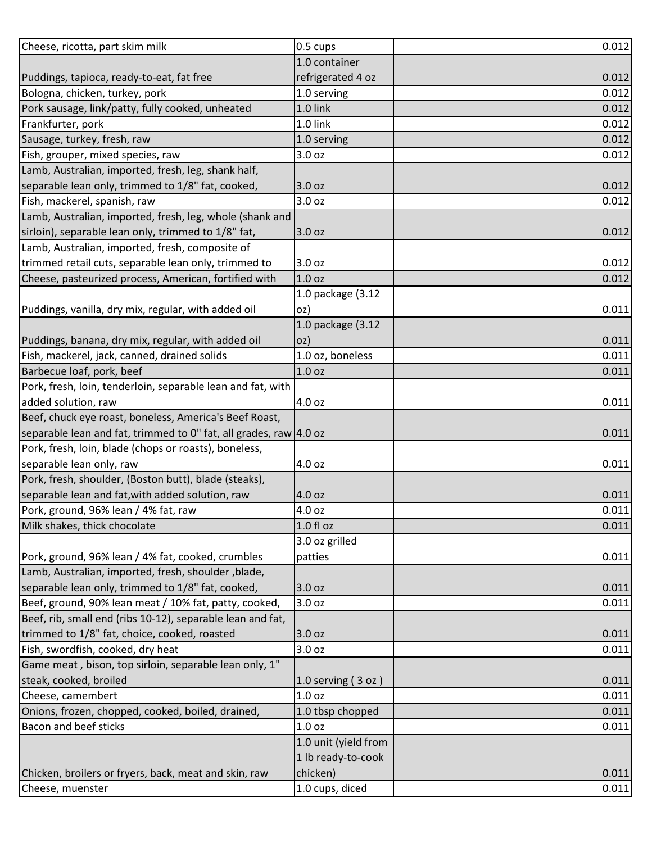| Cheese, ricotta, part skim milk                                   | 0.5 cups               | 0.012 |
|-------------------------------------------------------------------|------------------------|-------|
|                                                                   | 1.0 container          |       |
| Puddings, tapioca, ready-to-eat, fat free                         | refrigerated 4 oz      | 0.012 |
| Bologna, chicken, turkey, pork                                    | 1.0 serving            | 0.012 |
| Pork sausage, link/patty, fully cooked, unheated                  | 1.0 link               | 0.012 |
| Frankfurter, pork                                                 | 1.0 link               | 0.012 |
| Sausage, turkey, fresh, raw                                       | 1.0 serving            | 0.012 |
| Fish, grouper, mixed species, raw                                 | 3.0 <sub>oz</sub>      | 0.012 |
| Lamb, Australian, imported, fresh, leg, shank half,               |                        |       |
| separable lean only, trimmed to 1/8" fat, cooked,                 | 3.0 <sub>oz</sub>      | 0.012 |
| Fish, mackerel, spanish, raw                                      | 3.0 oz                 | 0.012 |
| Lamb, Australian, imported, fresh, leg, whole (shank and          |                        |       |
| sirloin), separable lean only, trimmed to 1/8" fat,               | 3.0 oz                 | 0.012 |
| Lamb, Australian, imported, fresh, composite of                   |                        |       |
| trimmed retail cuts, separable lean only, trimmed to              | 3.0 oz                 | 0.012 |
| Cheese, pasteurized process, American, fortified with             | 1.0 <sub>oz</sub>      | 0.012 |
|                                                                   | 1.0 package (3.12      |       |
| Puddings, vanilla, dry mix, regular, with added oil               | oz)                    | 0.011 |
|                                                                   | 1.0 package (3.12      |       |
| Puddings, banana, dry mix, regular, with added oil                | oz)                    | 0.011 |
| Fish, mackerel, jack, canned, drained solids                      | 1.0 oz, boneless       | 0.011 |
| Barbecue loaf, pork, beef                                         | 1.0 <sub>oz</sub>      | 0.011 |
| Pork, fresh, loin, tenderloin, separable lean and fat, with       |                        |       |
| added solution, raw                                               | 4.0 oz                 | 0.011 |
| Beef, chuck eye roast, boneless, America's Beef Roast,            |                        |       |
| separable lean and fat, trimmed to 0" fat, all grades, raw 4.0 oz |                        | 0.011 |
| Pork, fresh, loin, blade (chops or roasts), boneless,             |                        |       |
| separable lean only, raw                                          | 4.0 oz                 | 0.011 |
| Pork, fresh, shoulder, (Boston butt), blade (steaks),             |                        |       |
| separable lean and fat, with added solution, raw                  | 4.0 oz                 | 0.011 |
| Pork, ground, 96% lean / 4% fat, raw                              | 4.0 oz                 | 0.011 |
| Milk shakes, thick chocolate                                      | 1.0 f1 oz              | 0.011 |
|                                                                   | 3.0 oz grilled         |       |
| Pork, ground, 96% lean / 4% fat, cooked, crumbles                 | patties                | 0.011 |
| Lamb, Australian, imported, fresh, shoulder, blade,               |                        |       |
| separable lean only, trimmed to 1/8" fat, cooked,                 | 3.0 oz                 | 0.011 |
| Beef, ground, 90% lean meat / 10% fat, patty, cooked,             | 3.0 oz                 | 0.011 |
| Beef, rib, small end (ribs 10-12), separable lean and fat,        |                        |       |
| trimmed to 1/8" fat, choice, cooked, roasted                      | 3.0 oz                 | 0.011 |
| Fish, swordfish, cooked, dry heat                                 | 3.0 oz                 | 0.011 |
| Game meat, bison, top sirloin, separable lean only, 1"            |                        |       |
| steak, cooked, broiled                                            | $1.0$ serving $(3 oz)$ | 0.011 |
| Cheese, camembert                                                 | 1.0 <sub>oz</sub>      | 0.011 |
| Onions, frozen, chopped, cooked, boiled, drained,                 | 1.0 tbsp chopped       | 0.011 |
| <b>Bacon and beef sticks</b>                                      | 1.0 <sub>oz</sub>      | 0.011 |
|                                                                   | 1.0 unit (yield from   |       |
|                                                                   | 1 lb ready-to-cook     |       |
| Chicken, broilers or fryers, back, meat and skin, raw             | chicken)               | 0.011 |
| Cheese, muenster                                                  | 1.0 cups, diced        | 0.011 |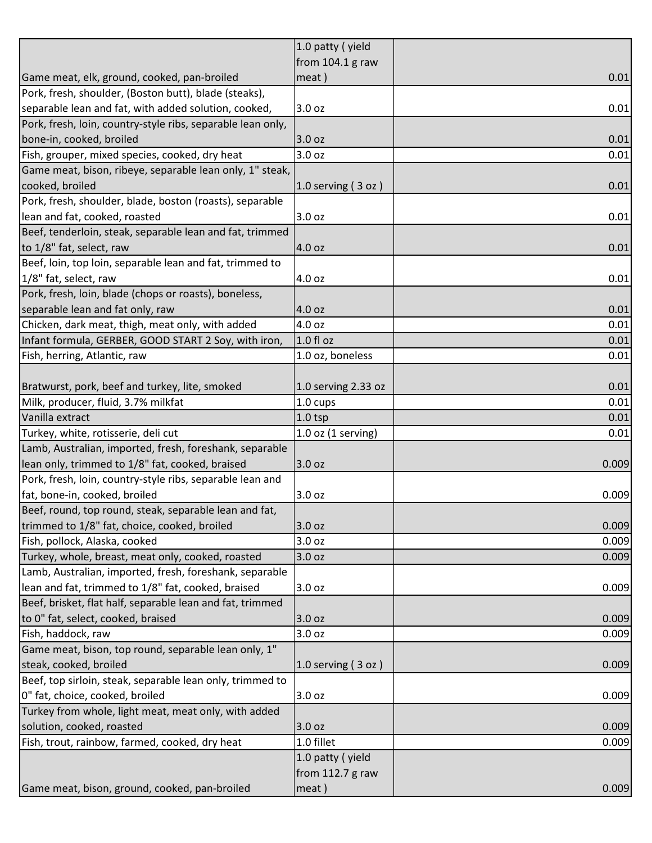| from 104.1 g raw<br>0.01<br>meat)<br>0.01<br>3.0 oz<br>3.0 oz<br>0.01<br>3.0 oz<br>0.01<br>0.01<br>$1.0$ serving $(3$ oz)<br>0.01<br>3.0 oz<br>4.0 oz<br>0.01<br>0.01<br>4.0 oz<br>4.0 oz<br>0.01<br>0.01<br>4.0 oz<br>$1.0 f$ l oz<br>0.01<br>1.0 oz, boneless<br>0.01<br>1.0 serving 2.33 oz<br>0.01<br>Milk, producer, fluid, 3.7% milkfat<br>1.0 cups<br>0.01<br>0.01<br>$1.0$ tsp<br>$1.0$ oz (1 serving)<br>0.01<br>3.0 oz<br>0.009<br>3.0 oz<br>0.009<br>3.0 oz<br>3.0 <sub>oz</sub><br>0.009<br>3.0 oz<br>0.009<br>3.0 oz<br>3.0 oz<br>0.009<br>3.0 <sub>oz</sub><br>0.009<br>1.0 serving (3 oz)<br>0.009<br>3.0 oz<br>0.009<br>3.0 oz<br>0.009<br>1.0 fillet<br>0.009<br>1.0 patty (yield<br>from 112.7 g raw<br>meat) |                                                             | 1.0 patty (yield |  |
|---------------------------------------------------------------------------------------------------------------------------------------------------------------------------------------------------------------------------------------------------------------------------------------------------------------------------------------------------------------------------------------------------------------------------------------------------------------------------------------------------------------------------------------------------------------------------------------------------------------------------------------------------------------------------------------------------------------------------------|-------------------------------------------------------------|------------------|--|
| 0.009<br>0.009<br>0.009                                                                                                                                                                                                                                                                                                                                                                                                                                                                                                                                                                                                                                                                                                         |                                                             |                  |  |
|                                                                                                                                                                                                                                                                                                                                                                                                                                                                                                                                                                                                                                                                                                                                 | Game meat, elk, ground, cooked, pan-broiled                 |                  |  |
|                                                                                                                                                                                                                                                                                                                                                                                                                                                                                                                                                                                                                                                                                                                                 | Pork, fresh, shoulder, (Boston butt), blade (steaks),       |                  |  |
|                                                                                                                                                                                                                                                                                                                                                                                                                                                                                                                                                                                                                                                                                                                                 | separable lean and fat, with added solution, cooked,        |                  |  |
|                                                                                                                                                                                                                                                                                                                                                                                                                                                                                                                                                                                                                                                                                                                                 | Pork, fresh, loin, country-style ribs, separable lean only, |                  |  |
|                                                                                                                                                                                                                                                                                                                                                                                                                                                                                                                                                                                                                                                                                                                                 | bone-in, cooked, broiled                                    |                  |  |
|                                                                                                                                                                                                                                                                                                                                                                                                                                                                                                                                                                                                                                                                                                                                 | Fish, grouper, mixed species, cooked, dry heat              |                  |  |
|                                                                                                                                                                                                                                                                                                                                                                                                                                                                                                                                                                                                                                                                                                                                 | Game meat, bison, ribeye, separable lean only, 1" steak,    |                  |  |
|                                                                                                                                                                                                                                                                                                                                                                                                                                                                                                                                                                                                                                                                                                                                 | cooked, broiled                                             |                  |  |
|                                                                                                                                                                                                                                                                                                                                                                                                                                                                                                                                                                                                                                                                                                                                 | Pork, fresh, shoulder, blade, boston (roasts), separable    |                  |  |
|                                                                                                                                                                                                                                                                                                                                                                                                                                                                                                                                                                                                                                                                                                                                 | lean and fat, cooked, roasted                               |                  |  |
|                                                                                                                                                                                                                                                                                                                                                                                                                                                                                                                                                                                                                                                                                                                                 | Beef, tenderloin, steak, separable lean and fat, trimmed    |                  |  |
|                                                                                                                                                                                                                                                                                                                                                                                                                                                                                                                                                                                                                                                                                                                                 | to 1/8" fat, select, raw                                    |                  |  |
|                                                                                                                                                                                                                                                                                                                                                                                                                                                                                                                                                                                                                                                                                                                                 | Beef, loin, top loin, separable lean and fat, trimmed to    |                  |  |
|                                                                                                                                                                                                                                                                                                                                                                                                                                                                                                                                                                                                                                                                                                                                 | 1/8" fat, select, raw                                       |                  |  |
|                                                                                                                                                                                                                                                                                                                                                                                                                                                                                                                                                                                                                                                                                                                                 | Pork, fresh, loin, blade (chops or roasts), boneless,       |                  |  |
|                                                                                                                                                                                                                                                                                                                                                                                                                                                                                                                                                                                                                                                                                                                                 | separable lean and fat only, raw                            |                  |  |
|                                                                                                                                                                                                                                                                                                                                                                                                                                                                                                                                                                                                                                                                                                                                 | Chicken, dark meat, thigh, meat only, with added            |                  |  |
|                                                                                                                                                                                                                                                                                                                                                                                                                                                                                                                                                                                                                                                                                                                                 | Infant formula, GERBER, GOOD START 2 Soy, with iron,        |                  |  |
|                                                                                                                                                                                                                                                                                                                                                                                                                                                                                                                                                                                                                                                                                                                                 | Fish, herring, Atlantic, raw                                |                  |  |
|                                                                                                                                                                                                                                                                                                                                                                                                                                                                                                                                                                                                                                                                                                                                 |                                                             |                  |  |
|                                                                                                                                                                                                                                                                                                                                                                                                                                                                                                                                                                                                                                                                                                                                 | Bratwurst, pork, beef and turkey, lite, smoked              |                  |  |
|                                                                                                                                                                                                                                                                                                                                                                                                                                                                                                                                                                                                                                                                                                                                 |                                                             |                  |  |
|                                                                                                                                                                                                                                                                                                                                                                                                                                                                                                                                                                                                                                                                                                                                 | Vanilla extract                                             |                  |  |
|                                                                                                                                                                                                                                                                                                                                                                                                                                                                                                                                                                                                                                                                                                                                 | Turkey, white, rotisserie, deli cut                         |                  |  |
|                                                                                                                                                                                                                                                                                                                                                                                                                                                                                                                                                                                                                                                                                                                                 | Lamb, Australian, imported, fresh, foreshank, separable     |                  |  |
|                                                                                                                                                                                                                                                                                                                                                                                                                                                                                                                                                                                                                                                                                                                                 | lean only, trimmed to 1/8" fat, cooked, braised             |                  |  |
|                                                                                                                                                                                                                                                                                                                                                                                                                                                                                                                                                                                                                                                                                                                                 | Pork, fresh, loin, country-style ribs, separable lean and   |                  |  |
|                                                                                                                                                                                                                                                                                                                                                                                                                                                                                                                                                                                                                                                                                                                                 | fat, bone-in, cooked, broiled                               |                  |  |
|                                                                                                                                                                                                                                                                                                                                                                                                                                                                                                                                                                                                                                                                                                                                 | Beef, round, top round, steak, separable lean and fat,      |                  |  |
|                                                                                                                                                                                                                                                                                                                                                                                                                                                                                                                                                                                                                                                                                                                                 | trimmed to 1/8" fat, choice, cooked, broiled                |                  |  |
|                                                                                                                                                                                                                                                                                                                                                                                                                                                                                                                                                                                                                                                                                                                                 | Fish, pollock, Alaska, cooked                               |                  |  |
|                                                                                                                                                                                                                                                                                                                                                                                                                                                                                                                                                                                                                                                                                                                                 | Turkey, whole, breast, meat only, cooked, roasted           |                  |  |
|                                                                                                                                                                                                                                                                                                                                                                                                                                                                                                                                                                                                                                                                                                                                 | Lamb, Australian, imported, fresh, foreshank, separable     |                  |  |
|                                                                                                                                                                                                                                                                                                                                                                                                                                                                                                                                                                                                                                                                                                                                 | lean and fat, trimmed to 1/8" fat, cooked, braised          |                  |  |
|                                                                                                                                                                                                                                                                                                                                                                                                                                                                                                                                                                                                                                                                                                                                 | Beef, brisket, flat half, separable lean and fat, trimmed   |                  |  |
|                                                                                                                                                                                                                                                                                                                                                                                                                                                                                                                                                                                                                                                                                                                                 | to 0" fat, select, cooked, braised                          |                  |  |
|                                                                                                                                                                                                                                                                                                                                                                                                                                                                                                                                                                                                                                                                                                                                 | Fish, haddock, raw                                          |                  |  |
|                                                                                                                                                                                                                                                                                                                                                                                                                                                                                                                                                                                                                                                                                                                                 | Game meat, bison, top round, separable lean only, 1"        |                  |  |
|                                                                                                                                                                                                                                                                                                                                                                                                                                                                                                                                                                                                                                                                                                                                 | steak, cooked, broiled                                      |                  |  |
|                                                                                                                                                                                                                                                                                                                                                                                                                                                                                                                                                                                                                                                                                                                                 | Beef, top sirloin, steak, separable lean only, trimmed to   |                  |  |
|                                                                                                                                                                                                                                                                                                                                                                                                                                                                                                                                                                                                                                                                                                                                 | 0" fat, choice, cooked, broiled                             |                  |  |
|                                                                                                                                                                                                                                                                                                                                                                                                                                                                                                                                                                                                                                                                                                                                 | Turkey from whole, light meat, meat only, with added        |                  |  |
|                                                                                                                                                                                                                                                                                                                                                                                                                                                                                                                                                                                                                                                                                                                                 | solution, cooked, roasted                                   |                  |  |
|                                                                                                                                                                                                                                                                                                                                                                                                                                                                                                                                                                                                                                                                                                                                 | Fish, trout, rainbow, farmed, cooked, dry heat              |                  |  |
|                                                                                                                                                                                                                                                                                                                                                                                                                                                                                                                                                                                                                                                                                                                                 |                                                             |                  |  |
|                                                                                                                                                                                                                                                                                                                                                                                                                                                                                                                                                                                                                                                                                                                                 |                                                             |                  |  |
|                                                                                                                                                                                                                                                                                                                                                                                                                                                                                                                                                                                                                                                                                                                                 | Game meat, bison, ground, cooked, pan-broiled               |                  |  |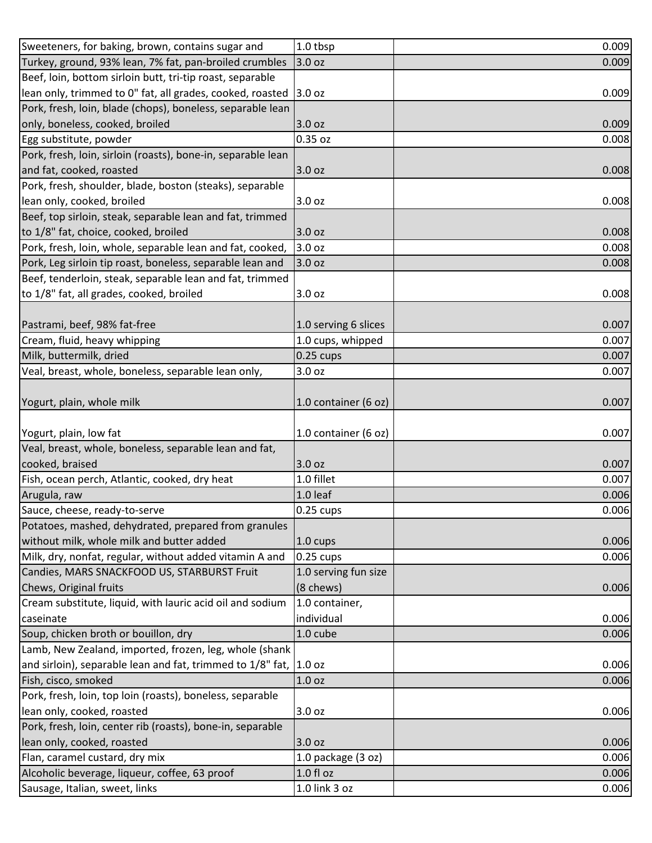| Sweeteners, for baking, brown, contains sugar and                                       | 1.0 tbsp             | 0.009          |
|-----------------------------------------------------------------------------------------|----------------------|----------------|
| Turkey, ground, 93% lean, 7% fat, pan-broiled crumbles                                  | 3.0 oz               | 0.009          |
| Beef, loin, bottom sirloin butt, tri-tip roast, separable                               |                      |                |
| lean only, trimmed to 0" fat, all grades, cooked, roasted 3.0 oz                        |                      | 0.009          |
| Pork, fresh, loin, blade (chops), boneless, separable lean                              |                      |                |
| only, boneless, cooked, broiled                                                         | 3.0 oz               | 0.009          |
| Egg substitute, powder                                                                  | 0.35 oz              | 0.008          |
| Pork, fresh, loin, sirloin (roasts), bone-in, separable lean                            |                      |                |
| and fat, cooked, roasted                                                                | 3.0 oz               | 0.008          |
| Pork, fresh, shoulder, blade, boston (steaks), separable                                |                      |                |
| lean only, cooked, broiled                                                              | 3.0 oz               | 0.008          |
| Beef, top sirloin, steak, separable lean and fat, trimmed                               |                      |                |
| to 1/8" fat, choice, cooked, broiled                                                    | 3.0 oz               | 0.008          |
| Pork, fresh, loin, whole, separable lean and fat, cooked,                               | 3.0 oz               | 0.008          |
| Pork, Leg sirloin tip roast, boneless, separable lean and                               | 3.0 oz               | 0.008          |
| Beef, tenderloin, steak, separable lean and fat, trimmed                                |                      |                |
| to 1/8" fat, all grades, cooked, broiled                                                | 3.0 oz               | 0.008          |
|                                                                                         |                      |                |
| Pastrami, beef, 98% fat-free                                                            | 1.0 serving 6 slices | 0.007          |
| Cream, fluid, heavy whipping                                                            | 1.0 cups, whipped    | 0.007          |
| Milk, buttermilk, dried                                                                 | $0.25$ cups          | 0.007          |
| Veal, breast, whole, boneless, separable lean only,                                     | 3.0 <sub>oz</sub>    | 0.007          |
|                                                                                         |                      |                |
| Yogurt, plain, whole milk                                                               | 1.0 container (6 oz) | 0.007          |
|                                                                                         |                      |                |
| Yogurt, plain, low fat                                                                  | 1.0 container (6 oz) | 0.007          |
| Veal, breast, whole, boneless, separable lean and fat,                                  |                      |                |
| cooked, braised                                                                         | 3.0 oz               | 0.007          |
| Fish, ocean perch, Atlantic, cooked, dry heat                                           | 1.0 fillet           | 0.007          |
| Arugula, raw                                                                            | 1.0 leaf             | 0.006          |
| Sauce, cheese, ready-to-serve                                                           | $0.25$ cups          | 0.006          |
| Potatoes, mashed, dehydrated, prepared from granules                                    |                      |                |
|                                                                                         |                      |                |
| without milk, whole milk and butter added                                               | 1.0 cups             |                |
| Milk, dry, nonfat, regular, without added vitamin A and                                 | 0.25 cups            | 0.006<br>0.006 |
| Candies, MARS SNACKFOOD US, STARBURST Fruit                                             | 1.0 serving fun size |                |
| Chews, Original fruits                                                                  | (8 chews)            | 0.006          |
| Cream substitute, liquid, with lauric acid oil and sodium                               | 1.0 container,       |                |
| caseinate                                                                               | individual           | 0.006          |
| Soup, chicken broth or bouillon, dry                                                    | 1.0 cube             | 0.006          |
| Lamb, New Zealand, imported, frozen, leg, whole (shank                                  |                      |                |
| and sirloin), separable lean and fat, trimmed to 1/8" fat, 1.0 oz                       |                      | 0.006          |
| Fish, cisco, smoked                                                                     | 1.0 oz               | 0.006          |
|                                                                                         |                      |                |
| Pork, fresh, loin, top loin (roasts), boneless, separable<br>lean only, cooked, roasted | 3.0 oz               | 0.006          |
| Pork, fresh, loin, center rib (roasts), bone-in, separable                              |                      |                |
|                                                                                         | 3.0 oz               | 0.006          |
| lean only, cooked, roasted<br>Flan, caramel custard, dry mix                            | 1.0 package (3 oz)   |                |
| Alcoholic beverage, liqueur, coffee, 63 proof                                           | $1.0 f$ l oz         | 0.006<br>0.006 |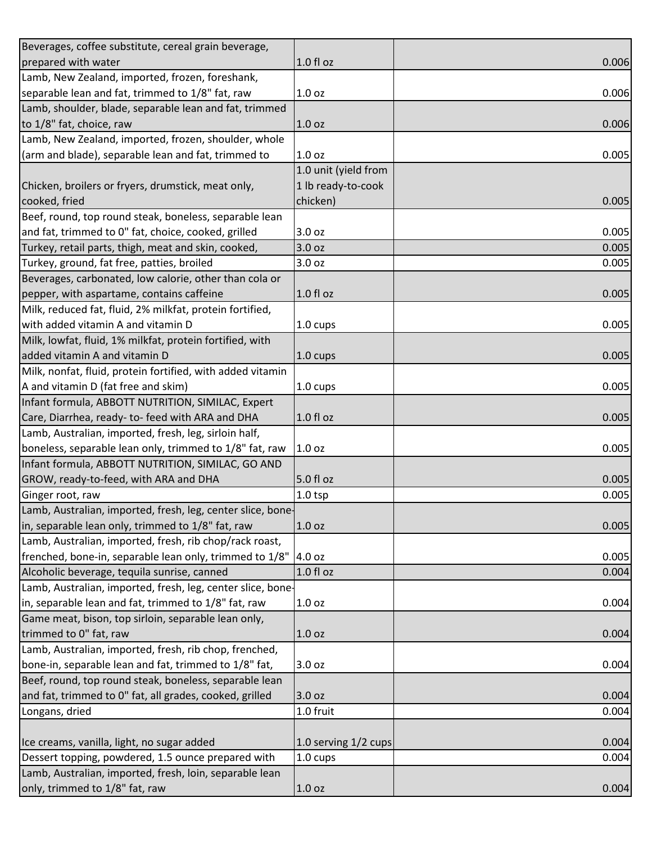| Beverages, coffee substitute, cereal grain beverage,        |                      |       |
|-------------------------------------------------------------|----------------------|-------|
| prepared with water                                         | 1.0 fl oz            | 0.006 |
| Lamb, New Zealand, imported, frozen, foreshank,             |                      |       |
| separable lean and fat, trimmed to 1/8" fat, raw            | 1.0 <sub>oz</sub>    | 0.006 |
| Lamb, shoulder, blade, separable lean and fat, trimmed      |                      |       |
| to 1/8" fat, choice, raw                                    | 1.0 <sub>oz</sub>    | 0.006 |
| Lamb, New Zealand, imported, frozen, shoulder, whole        |                      |       |
| (arm and blade), separable lean and fat, trimmed to         | 1.0 <sub>oz</sub>    | 0.005 |
|                                                             | 1.0 unit (yield from |       |
| Chicken, broilers or fryers, drumstick, meat only,          | 1 lb ready-to-cook   |       |
| cooked, fried                                               | chicken)             | 0.005 |
| Beef, round, top round steak, boneless, separable lean      |                      |       |
| and fat, trimmed to 0" fat, choice, cooked, grilled         | 3.0 oz               | 0.005 |
| Turkey, retail parts, thigh, meat and skin, cooked,         | 3.0 oz               | 0.005 |
| Turkey, ground, fat free, patties, broiled                  | 3.0 oz               | 0.005 |
| Beverages, carbonated, low calorie, other than cola or      |                      |       |
| pepper, with aspartame, contains caffeine                   | 1.0 fl oz            | 0.005 |
| Milk, reduced fat, fluid, 2% milkfat, protein fortified,    |                      |       |
| with added vitamin A and vitamin D                          | $1.0 \text{ cups}$   | 0.005 |
| Milk, lowfat, fluid, 1% milkfat, protein fortified, with    |                      |       |
| added vitamin A and vitamin D                               | 1.0 cups             | 0.005 |
| Milk, nonfat, fluid, protein fortified, with added vitamin  |                      |       |
| A and vitamin D (fat free and skim)                         | 1.0 cups             | 0.005 |
| Infant formula, ABBOTT NUTRITION, SIMILAC, Expert           |                      |       |
| Care, Diarrhea, ready- to- feed with ARA and DHA            | 1.0 fl oz            | 0.005 |
| Lamb, Australian, imported, fresh, leg, sirloin half,       |                      |       |
| boneless, separable lean only, trimmed to 1/8" fat, raw     | 1.0 <sub>oz</sub>    | 0.005 |
| Infant formula, ABBOTT NUTRITION, SIMILAC, GO AND           |                      |       |
| GROW, ready-to-feed, with ARA and DHA                       | 5.0 fl oz            | 0.005 |
| Ginger root, raw                                            | $1.0$ tsp            | 0.005 |
| Lamb, Australian, imported, fresh, leg, center slice, bone- |                      |       |
| in, separable lean only, trimmed to 1/8" fat, raw           | 1.0 <sub>oz</sub>    | 0.005 |
| Lamb, Australian, imported, fresh, rib chop/rack roast,     |                      |       |
| frenched, bone-in, separable lean only, trimmed to 1/8"     | 4.0 oz               | 0.005 |
| Alcoholic beverage, tequila sunrise, canned                 | 1.0 fl oz            | 0.004 |
| Lamb, Australian, imported, fresh, leg, center slice, bone- |                      |       |
| in, separable lean and fat, trimmed to 1/8" fat, raw        | 1.0 <sub>oz</sub>    | 0.004 |
| Game meat, bison, top sirloin, separable lean only,         |                      |       |
| trimmed to 0" fat, raw                                      | 1.0 <sub>oz</sub>    | 0.004 |
| Lamb, Australian, imported, fresh, rib chop, frenched,      |                      |       |
| bone-in, separable lean and fat, trimmed to 1/8" fat,       | 3.0 oz               | 0.004 |
| Beef, round, top round steak, boneless, separable lean      |                      |       |
| and fat, trimmed to 0" fat, all grades, cooked, grilled     | 3.0 oz               | 0.004 |
| Longans, dried                                              | 1.0 fruit            | 0.004 |
|                                                             |                      |       |
| Ice creams, vanilla, light, no sugar added                  | 1.0 serving 1/2 cups | 0.004 |
| Dessert topping, powdered, 1.5 ounce prepared with          | 1.0 cups             | 0.004 |
| Lamb, Australian, imported, fresh, loin, separable lean     |                      |       |
| only, trimmed to 1/8" fat, raw                              | 1.0 <sub>oz</sub>    | 0.004 |
|                                                             |                      |       |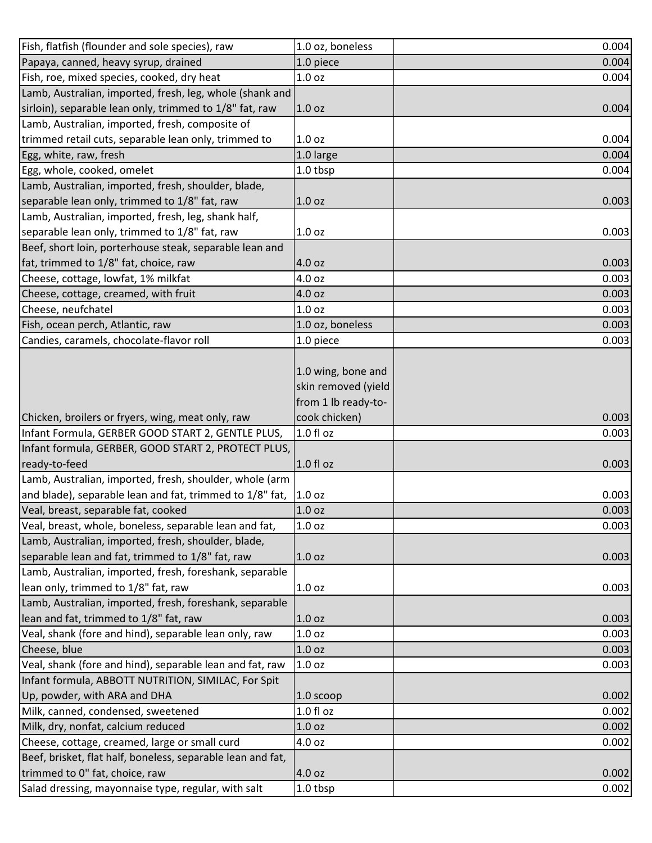| Papaya, canned, heavy syrup, drained<br>1.0 piece<br>Fish, roe, mixed species, cooked, dry heat<br>1.0 <sub>oz</sub> | 0.004<br>0.004 |
|----------------------------------------------------------------------------------------------------------------------|----------------|
|                                                                                                                      |                |
|                                                                                                                      |                |
| Lamb, Australian, imported, fresh, leg, whole (shank and                                                             |                |
| sirloin), separable lean only, trimmed to 1/8" fat, raw<br>1.0 <sub>oz</sub>                                         | 0.004          |
| Lamb, Australian, imported, fresh, composite of                                                                      |                |
| trimmed retail cuts, separable lean only, trimmed to<br>1.0 <sub>oz</sub>                                            | 0.004          |
| Egg, white, raw, fresh<br>1.0 large                                                                                  | 0.004          |
| Egg, whole, cooked, omelet<br>1.0 tbsp                                                                               | 0.004          |
| Lamb, Australian, imported, fresh, shoulder, blade,                                                                  |                |
| separable lean only, trimmed to 1/8" fat, raw<br>1.0 <sub>oz</sub>                                                   | 0.003          |
| Lamb, Australian, imported, fresh, leg, shank half,                                                                  |                |
| separable lean only, trimmed to 1/8" fat, raw<br>1.0 <sub>oz</sub>                                                   | 0.003          |
| Beef, short loin, porterhouse steak, separable lean and                                                              |                |
| fat, trimmed to 1/8" fat, choice, raw<br>4.0 oz                                                                      | 0.003          |
| Cheese, cottage, lowfat, 1% milkfat<br>4.0 oz                                                                        | 0.003          |
| Cheese, cottage, creamed, with fruit<br>4.0 oz                                                                       | 0.003          |
| Cheese, neufchatel<br>1.0 <sub>oz</sub>                                                                              | 0.003          |
| Fish, ocean perch, Atlantic, raw<br>1.0 oz, boneless                                                                 | 0.003          |
| Candies, caramels, chocolate-flavor roll<br>1.0 piece                                                                | 0.003          |
|                                                                                                                      |                |
| 1.0 wing, bone and                                                                                                   |                |
| skin removed (yield                                                                                                  |                |
| from 1 lb ready-to-                                                                                                  |                |
| Chicken, broilers or fryers, wing, meat only, raw<br>cook chicken)                                                   | 0.003          |
| Infant Formula, GERBER GOOD START 2, GENTLE PLUS,<br>1.0 fl oz                                                       | 0.003          |
| Infant formula, GERBER, GOOD START 2, PROTECT PLUS,                                                                  |                |
| ready-to-feed<br>1.0 fl oz                                                                                           | 0.003          |
| Lamb, Australian, imported, fresh, shoulder, whole (arm                                                              |                |
| and blade), separable lean and fat, trimmed to 1/8" fat,<br>1.0 <sub>oz</sub>                                        | 0.003          |
| Veal, breast, separable fat, cooked<br>1.0 <sub>oz</sub>                                                             | 0.003          |
| Veal, breast, whole, boneless, separable lean and fat,<br>1.0 <sub>oz</sub>                                          | 0.003          |
| Lamb, Australian, imported, fresh, shoulder, blade,                                                                  |                |
| separable lean and fat, trimmed to 1/8" fat, raw<br>1.0 <sub>oz</sub>                                                | 0.003          |
| Lamb, Australian, imported, fresh, foreshank, separable                                                              |                |
| lean only, trimmed to 1/8" fat, raw<br>1.0 <sub>oz</sub>                                                             | 0.003          |
| Lamb, Australian, imported, fresh, foreshank, separable                                                              |                |
| lean and fat, trimmed to 1/8" fat, raw<br>1.0 <sub>oz</sub>                                                          | 0.003          |
| Veal, shank (fore and hind), separable lean only, raw<br>1.0 <sub>oz</sub>                                           | 0.003          |
| Cheese, blue<br>1.0 <sub>oz</sub>                                                                                    | 0.003          |
| Veal, shank (fore and hind), separable lean and fat, raw<br>1.0 <sub>oz</sub>                                        | 0.003          |
| Infant formula, ABBOTT NUTRITION, SIMILAC, For Spit                                                                  |                |
| Up, powder, with ARA and DHA<br>$1.0$ scoop                                                                          | 0.002          |
| Milk, canned, condensed, sweetened<br>$1.0 f$ l oz                                                                   | 0.002          |
| Milk, dry, nonfat, calcium reduced<br>1.0 <sub>oz</sub>                                                              | 0.002          |
| Cheese, cottage, creamed, large or small curd<br>4.0 oz                                                              | 0.002          |
| Beef, brisket, flat half, boneless, separable lean and fat,                                                          |                |
| trimmed to 0" fat, choice, raw<br>4.0 oz                                                                             | 0.002          |
| Salad dressing, mayonnaise type, regular, with salt<br>1.0 tbsp                                                      | 0.002          |